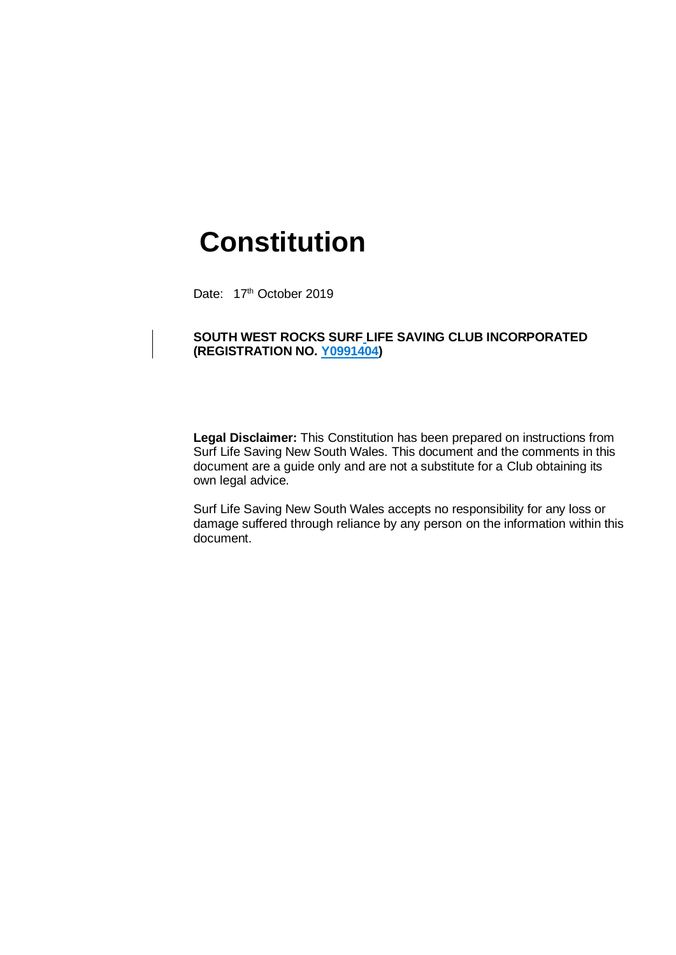# **Constitution**

Date: 17th October 2019

# **SOUTH WEST ROCKS SURF LIFE SAVING CLUB INCORPORATED (REGISTRATION NO. Y0991404)**

**Legal Disclaimer:** This Constitution has been prepared on instructions from Surf Life Saving New South Wales. This document and the comments in this document are a guide only and are not a substitute for a Club obtaining its own legal advice.

Surf Life Saving New South Wales accepts no responsibility for any loss or damage suffered through reliance by any person on the information within this document.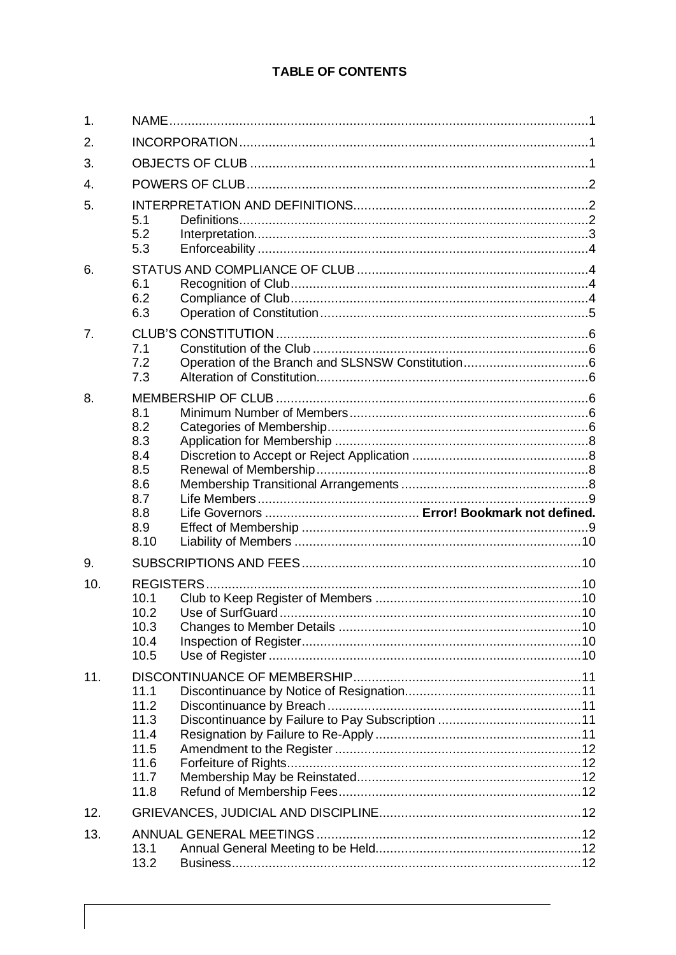# **TABLE OF CONTENTS**

| $\mathbf{1}$ . |                                                              |  |  |  |  |
|----------------|--------------------------------------------------------------|--|--|--|--|
| 2.             |                                                              |  |  |  |  |
| 3.             |                                                              |  |  |  |  |
| 4.             |                                                              |  |  |  |  |
| 5.             | 5.1<br>5.2<br>5.3                                            |  |  |  |  |
| 6.             | 6.1<br>6.2<br>6.3                                            |  |  |  |  |
| 7.             | 7.1<br>7.2<br>7.3                                            |  |  |  |  |
| 8.             | 8.1<br>8.2<br>8.3<br>8.4<br>8.5                              |  |  |  |  |
|                |                                                              |  |  |  |  |
|                | 8.6<br>8.7<br>8.8<br>8.9<br>8.10                             |  |  |  |  |
| 9.             |                                                              |  |  |  |  |
| 10.            | <b>REGISTERS</b><br>10.1<br>10.2<br>10.3<br>10.4<br>10.5     |  |  |  |  |
| 11.            | 11.1<br>11.2<br>11.3<br>11.4<br>11.5<br>11.6<br>11.7<br>11.8 |  |  |  |  |
| 12.            |                                                              |  |  |  |  |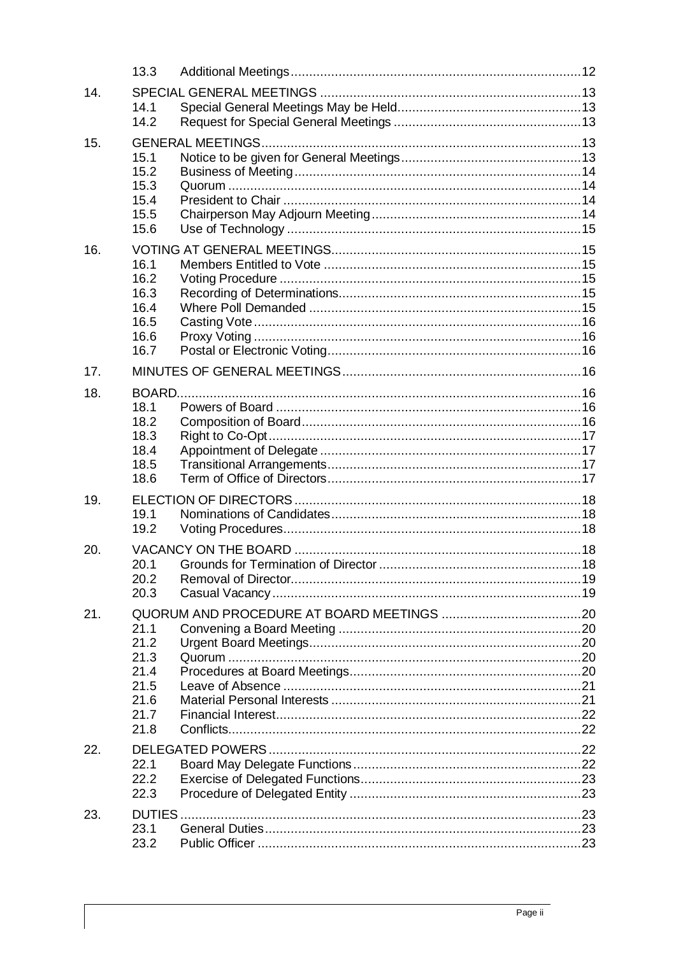|     | 13.3                                                         |  |
|-----|--------------------------------------------------------------|--|
| 14. | 14.1<br>14.2                                                 |  |
| 15. | 15.1<br>15.2<br>15.3<br>15.4<br>15.5<br>15.6                 |  |
| 16. | 16.1<br>16.2<br>16.3<br>16.4<br>16.5<br>16.6<br>16.7         |  |
| 17. |                                                              |  |
| 18. | 18.1<br>18.2<br>18.3<br>18.4<br>18.5<br>18.6                 |  |
| 19. | 19.1<br>19.2                                                 |  |
| 20. | 20.1<br>20.2<br>20.3                                         |  |
| 21. | 21.1<br>21.2<br>21.3<br>21.4<br>21.5<br>21.6<br>21.7<br>21.8 |  |
| 22. | 22.1<br>22.2<br>22.3                                         |  |
| 23. | DUTIES.<br>23.1<br>23.2                                      |  |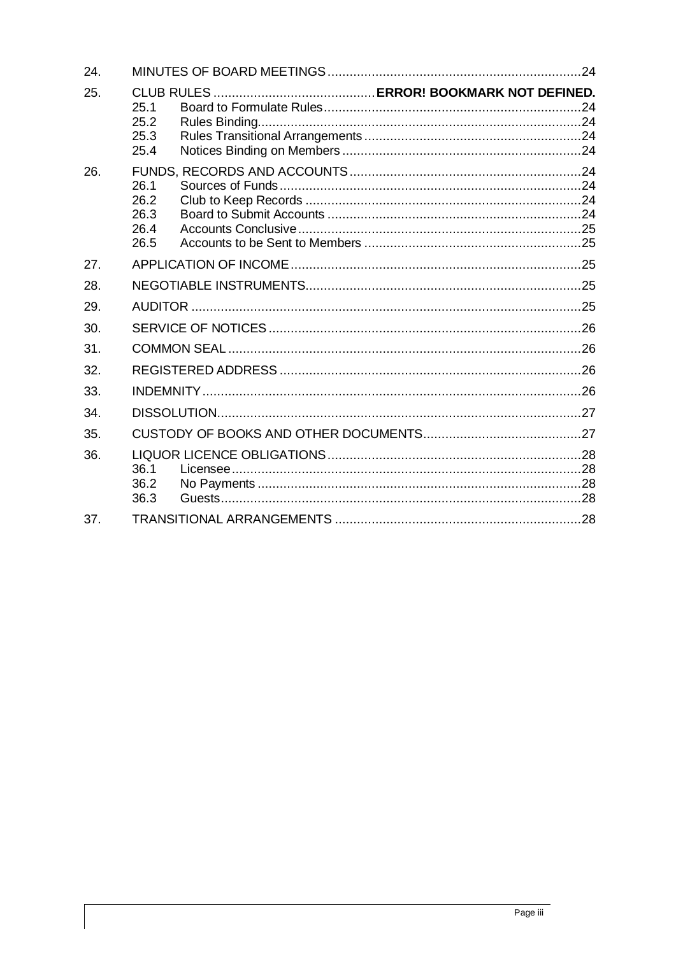| 24. |                                      |  |  |  |  |
|-----|--------------------------------------|--|--|--|--|
| 25. | 25.1<br>25.2<br>25.3<br>25.4         |  |  |  |  |
| 26. | 26.1<br>26.2<br>26.3<br>26.4<br>26.5 |  |  |  |  |
| 27. |                                      |  |  |  |  |
| 28. |                                      |  |  |  |  |
| 29. |                                      |  |  |  |  |
| 30. |                                      |  |  |  |  |
| 31. |                                      |  |  |  |  |
| 32. |                                      |  |  |  |  |
| 33. |                                      |  |  |  |  |
| 34. |                                      |  |  |  |  |
| 35. |                                      |  |  |  |  |
| 36. | 36.1<br>36.2<br>36.3                 |  |  |  |  |
| 37. |                                      |  |  |  |  |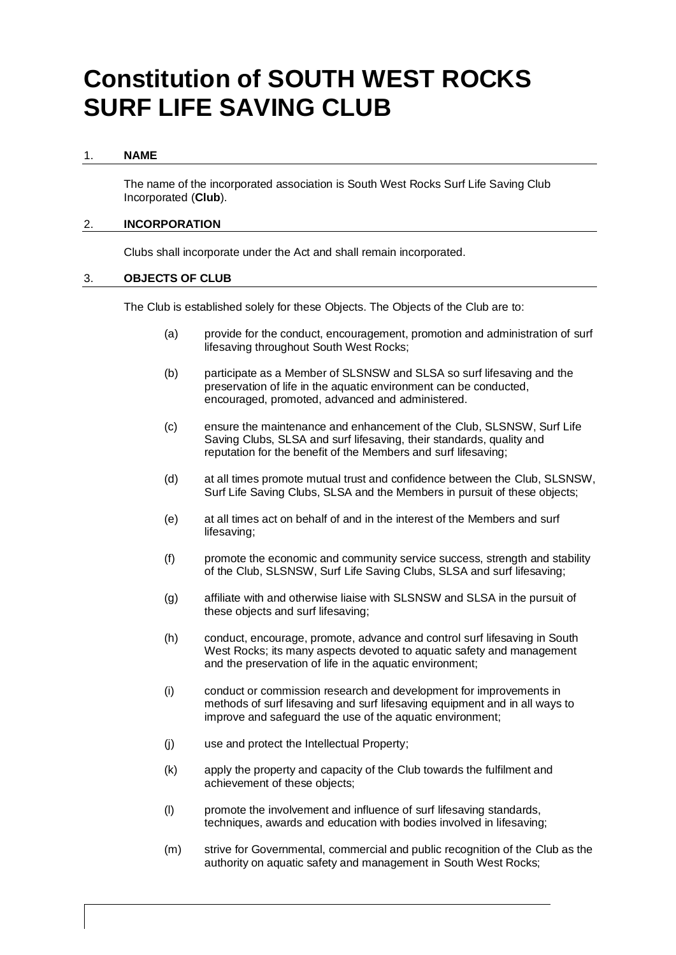# **Constitution of SOUTH WEST ROCKS SURF LIFE SAVING CLUB**

#### <span id="page-4-0"></span>1. **NAME**

The name of the incorporated association is South West Rocks Surf Life Saving Club Incorporated (**Club**).

# <span id="page-4-1"></span>2. **INCORPORATION**

Clubs shall incorporate under the Act and shall remain incorporated.

# <span id="page-4-2"></span>3. **OBJECTS OF CLUB**

The Club is established solely for these Objects. The Objects of the Club are to:

- (a) provide for the conduct, encouragement, promotion and administration of surf lifesaving throughout South West Rocks;
- (b) participate as a Member of SLSNSW and SLSA so surf lifesaving and the preservation of life in the aquatic environment can be conducted, encouraged, promoted, advanced and administered.
- (c) ensure the maintenance and enhancement of the Club, SLSNSW, Surf Life Saving Clubs, SLSA and surf lifesaving, their standards, quality and reputation for the benefit of the Members and surf lifesaving;
- (d) at all times promote mutual trust and confidence between the Club, SLSNSW, Surf Life Saving Clubs, SLSA and the Members in pursuit of these objects;
- (e) at all times act on behalf of and in the interest of the Members and surf lifesaving;
- (f) promote the economic and community service success, strength and stability of the Club, SLSNSW, Surf Life Saving Clubs, SLSA and surf lifesaving;
- (g) affiliate with and otherwise liaise with SLSNSW and SLSA in the pursuit of these objects and surf lifesaving;
- (h) conduct, encourage, promote, advance and control surf lifesaving in South West Rocks; its many aspects devoted to aquatic safety and management and the preservation of life in the aquatic environment;
- (i) conduct or commission research and development for improvements in methods of surf lifesaving and surf lifesaving equipment and in all ways to improve and safeguard the use of the aquatic environment;
- (j) use and protect the Intellectual Property;
- (k) apply the property and capacity of the Club towards the fulfilment and achievement of these objects;
- (l) promote the involvement and influence of surf lifesaving standards, techniques, awards and education with bodies involved in lifesaving;
- (m) strive for Governmental, commercial and public recognition of the Club as the authority on aquatic safety and management in South West Rocks;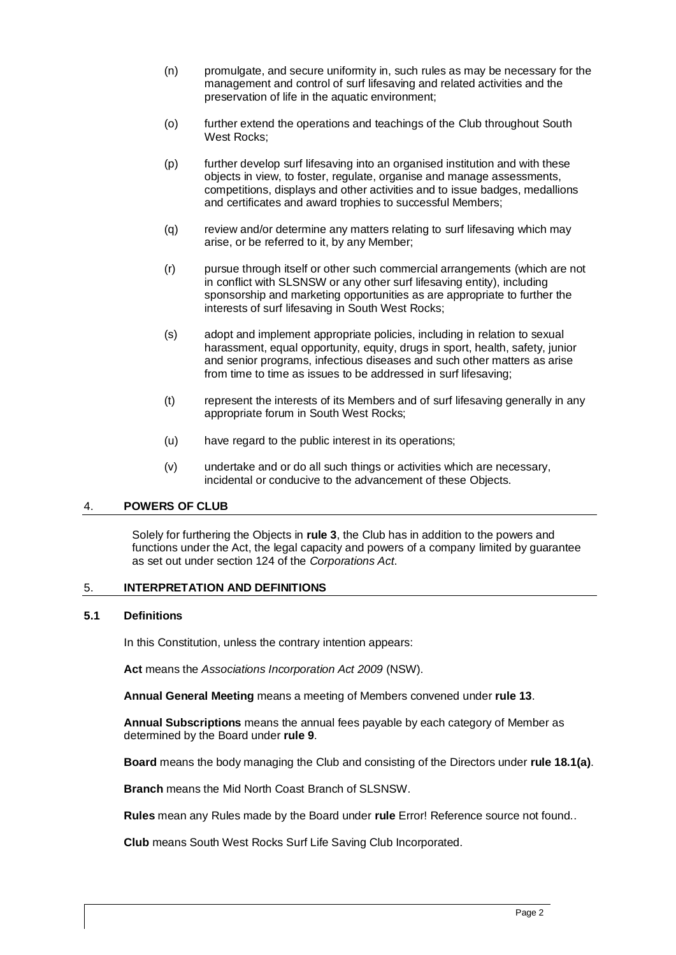- (n) promulgate, and secure uniformity in, such rules as may be necessary for the management and control of surf lifesaving and related activities and the preservation of life in the aquatic environment;
- (o) further extend the operations and teachings of the Club throughout South West Rocks;
- (p) further develop surf lifesaving into an organised institution and with these objects in view, to foster, regulate, organise and manage assessments, competitions, displays and other activities and to issue badges, medallions and certificates and award trophies to successful Members;
- (q) review and/or determine any matters relating to surf lifesaving which may arise, or be referred to it, by any Member;
- (r) pursue through itself or other such commercial arrangements (which are not in conflict with SLSNSW or any other surf lifesaving entity), including sponsorship and marketing opportunities as are appropriate to further the interests of surf lifesaving in South West Rocks;
- (s) adopt and implement appropriate policies, including in relation to sexual harassment, equal opportunity, equity, drugs in sport, health, safety, junior and senior programs, infectious diseases and such other matters as arise from time to time as issues to be addressed in surf lifesaving;
- (t) represent the interests of its Members and of surf lifesaving generally in any appropriate forum in South West Rocks;
- (u) have regard to the public interest in its operations;
- (v) undertake and or do all such things or activities which are necessary, incidental or conducive to the advancement of these Objects.

# <span id="page-5-0"></span>4. **POWERS OF CLUB**

Solely for furthering the Objects in **rule 3**, the Club has in addition to the powers and functions under the Act, the legal capacity and powers of a company limited by guarantee as set out under section 124 of the *Corporations Act*.

#### <span id="page-5-1"></span>5. **INTERPRETATION AND DEFINITIONS**

# <span id="page-5-2"></span>**5.1 Definitions**

In this Constitution, unless the contrary intention appears:

**Act** means the *Associations Incorporation Act 2009* (NSW).

**Annual General Meeting** means a meeting of Members convened under **rule [13](#page-15-5)**.

**Annual Subscriptions** means the annual fees payable by each category of Member as determined by the Board under **rule [9](#page-13-1)**.

**Board** means the body managing the Club and consisting of the Directors under **rule [18.1\(a\)](#page-19-7)**.

**Branch** means the Mid North Coast Branch of SLSNSW.

**Rules** mean any Rules made by the Board under **rule** Error! Reference source not found..

**Club** means South West Rocks Surf Life Saving Club Incorporated.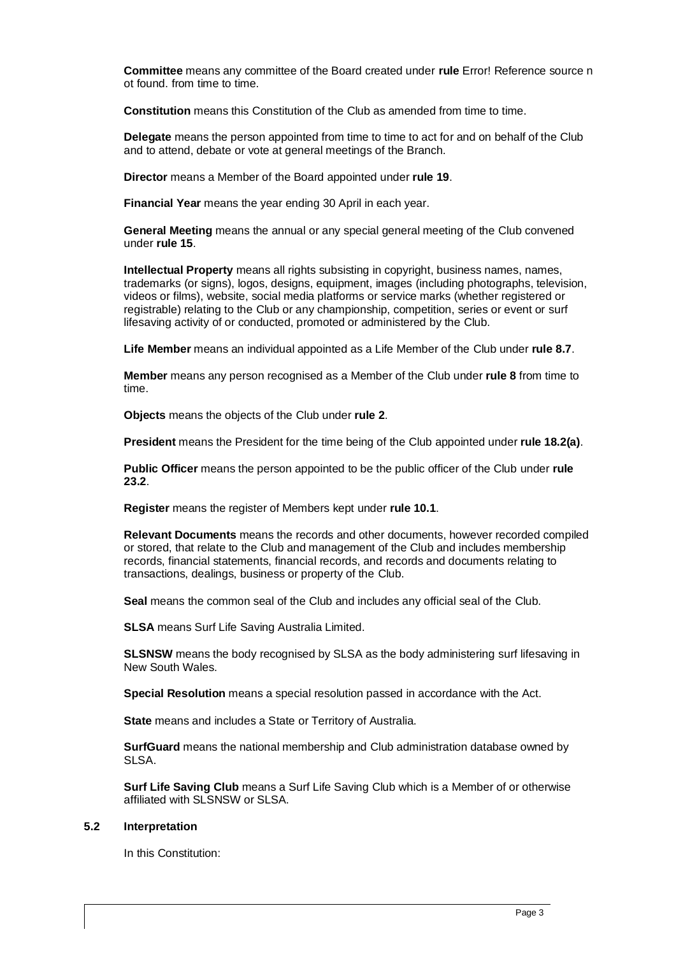**Committee** means any committee of the Board created under **rule** Error! Reference source n ot found. from time to time.

**Constitution** means this Constitution of the Club as amended from time to time.

**Delegate** means the person appointed from time to time to act for and on behalf of the Club and to attend, debate or vote at general meetings of the Branch.

**Director** means a Member of the Board appointed under **rule [19](#page-21-0)**.

**Financial Year** means the year ending 30 April in each year.

**General Meeting** means the annual or any special general meeting of the Club convened under **rul[e 15](#page-16-3)**.

**Intellectual Property** means all rights subsisting in copyright, business names, names, trademarks (or signs), logos, designs, equipment, images (including photographs, television, videos or films), website, social media platforms or service marks (whether registered or registrable) relating to the Club or any championship, competition, series or event or surf lifesaving activity of or conducted, promoted or administered by the Club.

**Life Member** means an individual appointed as a Life Member of the Club under **rule [8.7](#page-12-0)**.

**Member** means any person recognised as a Member of the Club under **rule [8](#page-9-4)** from time to time.

**Objects** means the objects of the Club under **rule [2](#page-4-1)**.

**President** means the President for the time being of the Club appointed under **rule [18.2\(a\)](#page-20-4)**.

**Public Officer** means the person appointed to be the public officer of the Club under **rule 23.2**.

**Register** means the register of Members kept under **rule [10.1](#page-13-3)**.

**Relevant Documents** means the records and other documents, however recorded compiled or stored, that relate to the Club and management of the Club and includes membership records, financial statements, financial records, and records and documents relating to transactions, dealings, business or property of the Club.

**Seal** means the common seal of the Club and includes any official seal of the Club.

**SLSA** means Surf Life Saving Australia Limited.

**SLSNSW** means the body recognised by SLSA as the body administering surf lifesaving in New South Wales.

**Special Resolution** means a special resolution passed in accordance with the Act.

**State** means and includes a State or Territory of Australia.

**SurfGuard** means the national membership and Club administration database owned by SLSA.

**Surf Life Saving Club** means a Surf Life Saving Club which is a Member of or otherwise affiliated with SLSNSW or SLSA.

#### <span id="page-6-0"></span>**5.2 Interpretation**

In this Constitution: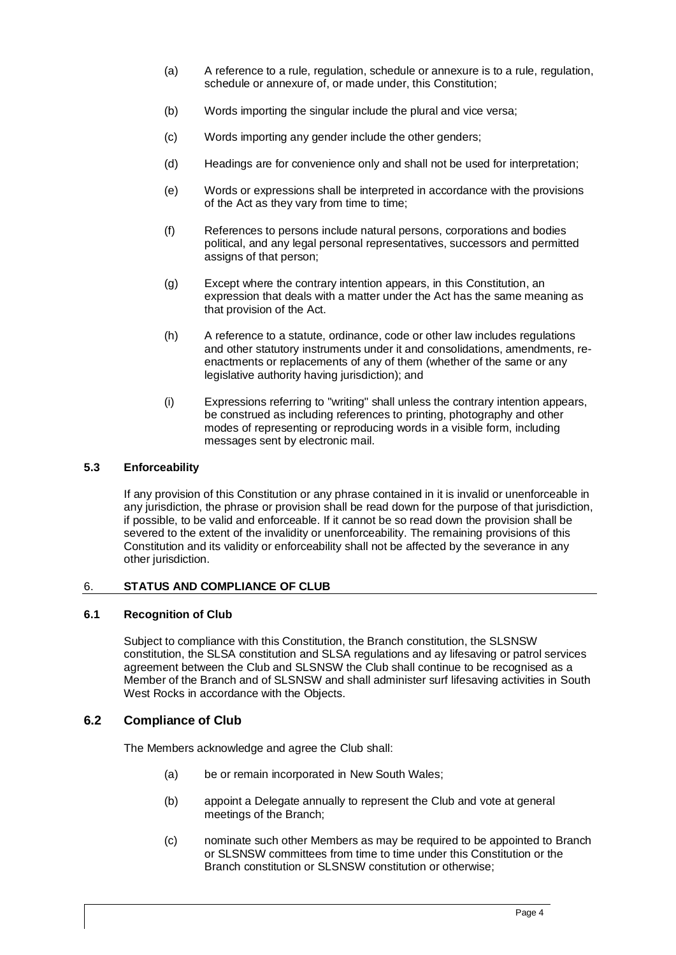- (a) A reference to a rule, regulation, schedule or annexure is to a rule, regulation, schedule or annexure of, or made under, this Constitution;
- (b) Words importing the singular include the plural and vice versa;
- (c) Words importing any gender include the other genders;
- (d) Headings are for convenience only and shall not be used for interpretation;
- (e) Words or expressions shall be interpreted in accordance with the provisions of the Act as they vary from time to time;
- (f) References to persons include natural persons, corporations and bodies political, and any legal personal representatives, successors and permitted assigns of that person;
- (g) Except where the contrary intention appears, in this Constitution, an expression that deals with a matter under the Act has the same meaning as that provision of the Act.
- (h) A reference to a statute, ordinance, code or other law includes regulations and other statutory instruments under it and consolidations, amendments, reenactments or replacements of any of them (whether of the same or any legislative authority having jurisdiction); and
- (i) Expressions referring to "writing" shall unless the contrary intention appears, be construed as including references to printing, photography and other modes of representing or reproducing words in a visible form, including messages sent by electronic mail.

# <span id="page-7-0"></span>**5.3 Enforceability**

If any provision of this Constitution or any phrase contained in it is invalid or unenforceable in any jurisdiction, the phrase or provision shall be read down for the purpose of that jurisdiction, if possible, to be valid and enforceable. If it cannot be so read down the provision shall be severed to the extent of the invalidity or unenforceability. The remaining provisions of this Constitution and its validity or enforceability shall not be affected by the severance in any other jurisdiction.

# <span id="page-7-1"></span>6. **STATUS AND COMPLIANCE OF CLUB**

# <span id="page-7-2"></span>**6.1 Recognition of Club**

Subject to compliance with this Constitution, the Branch constitution, the SLSNSW constitution, the SLSA constitution and SLSA regulations and ay lifesaving or patrol services agreement between the Club and SLSNSW the Club shall continue to be recognised as a Member of the Branch and of SLSNSW and shall administer surf lifesaving activities in South West Rocks in accordance with the Objects.

# <span id="page-7-3"></span>**6.2 Compliance of Club**

The Members acknowledge and agree the Club shall:

- (a) be or remain incorporated in New South Wales;
- (b) appoint a Delegate annually to represent the Club and vote at general meetings of the Branch;
- (c) nominate such other Members as may be required to be appointed to Branch or SLSNSW committees from time to time under this Constitution or the Branch constitution or SLSNSW constitution or otherwise;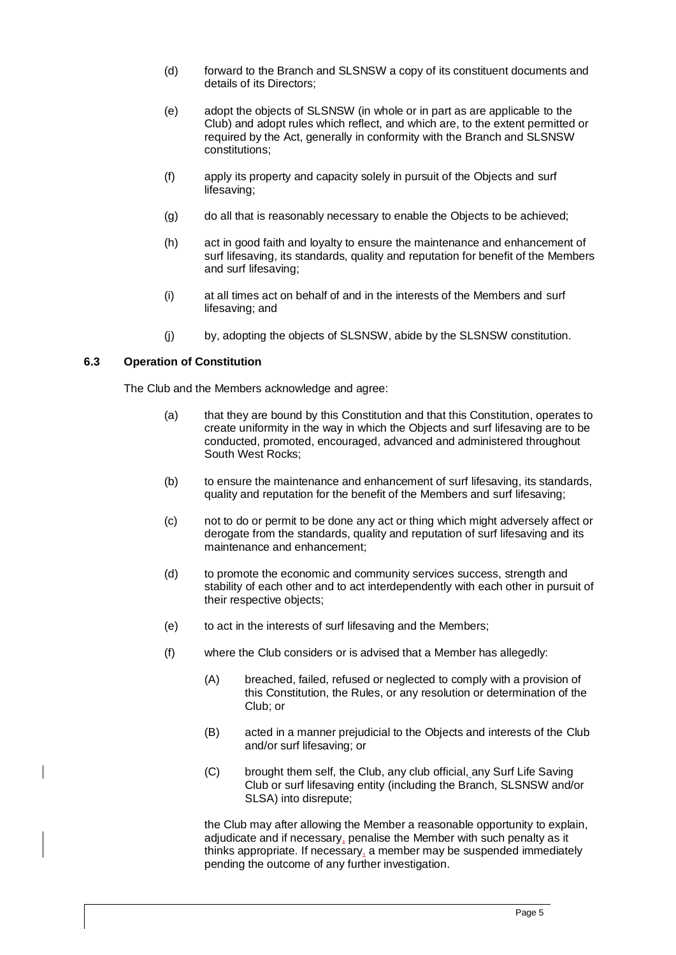- (d) forward to the Branch and SLSNSW a copy of its constituent documents and details of its Directors;
- (e) adopt the objects of SLSNSW (in whole or in part as are applicable to the Club) and adopt rules which reflect, and which are, to the extent permitted or required by the Act, generally in conformity with the Branch and SLSNSW constitutions;
- (f) apply its property and capacity solely in pursuit of the Objects and surf lifesaving;
- (g) do all that is reasonably necessary to enable the Objects to be achieved;
- (h) act in good faith and loyalty to ensure the maintenance and enhancement of surf lifesaving, its standards, quality and reputation for benefit of the Members and surf lifesaving;
- (i) at all times act on behalf of and in the interests of the Members and surf lifesaving; and
- (j) by, adopting the objects of SLSNSW, abide by the SLSNSW constitution.

# <span id="page-8-0"></span>**6.3 Operation of Constitution**

The Club and the Members acknowledge and agree:

- (a) that they are bound by this Constitution and that this Constitution, operates to create uniformity in the way in which the Objects and surf lifesaving are to be conducted, promoted, encouraged, advanced and administered throughout South West Rocks;
- (b) to ensure the maintenance and enhancement of surf lifesaving, its standards, quality and reputation for the benefit of the Members and surf lifesaving;
- (c) not to do or permit to be done any act or thing which might adversely affect or derogate from the standards, quality and reputation of surf lifesaving and its maintenance and enhancement;
- (d) to promote the economic and community services success, strength and stability of each other and to act interdependently with each other in pursuit of their respective objects;
- (e) to act in the interests of surf lifesaving and the Members;
- (f) where the Club considers or is advised that a Member has allegedly:
	- (A) breached, failed, refused or neglected to comply with a provision of this Constitution, the Rules, or any resolution or determination of the Club; or
	- (B) acted in a manner prejudicial to the Objects and interests of the Club and/or surf lifesaving; or
	- (C) brought them self, the Club, any club official, any Surf Life Saving Club or surf lifesaving entity (including the Branch, SLSNSW and/or SLSA) into disrepute;

the Club may after allowing the Member a reasonable opportunity to explain, adjudicate and if necessary, penalise the Member with such penalty as it thinks appropriate. If necessary, a member may be suspended immediately pending the outcome of any further investigation.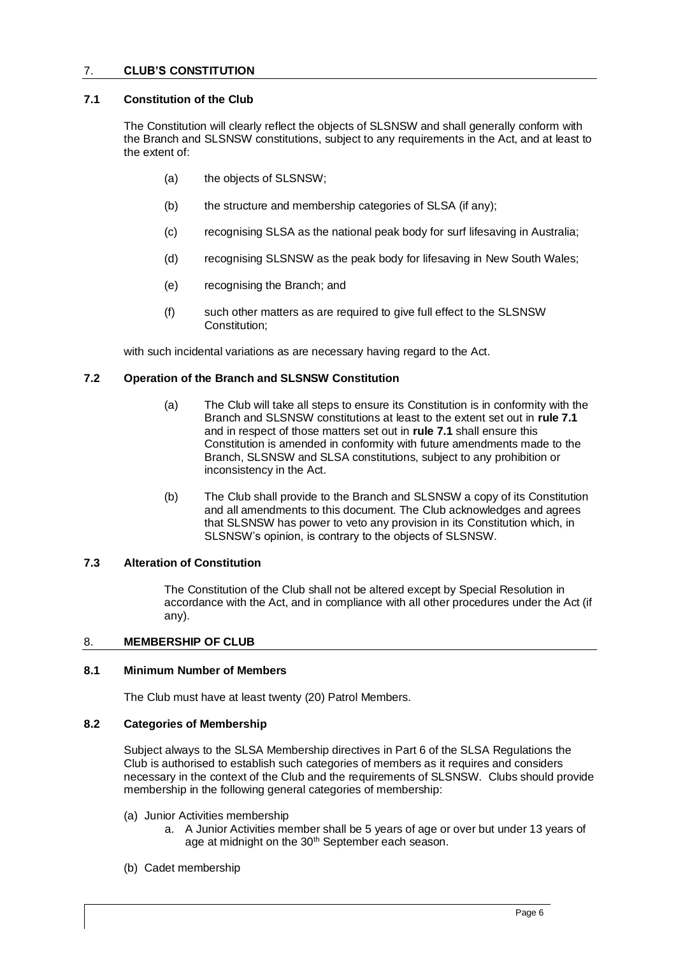# <span id="page-9-0"></span>7. **CLUB'S CONSTITUTION**

#### <span id="page-9-1"></span>**7.1 Constitution of the Club**

The Constitution will clearly reflect the objects of SLSNSW and shall generally conform with the Branch and SLSNSW constitutions, subject to any requirements in the Act, and at least to the extent of:

- (a) the objects of SLSNSW;
- (b) the structure and membership categories of SLSA (if any);
- (c) recognising SLSA as the national peak body for surf lifesaving in Australia;
- (d) recognising SLSNSW as the peak body for lifesaving in New South Wales;
- (e) recognising the Branch; and
- (f) such other matters as are required to give full effect to the SLSNSW Constitution;

with such incidental variations as are necessary having regard to the Act.

#### <span id="page-9-2"></span>**7.2 Operation of the Branch and SLSNSW Constitution**

- (a) The Club will take all steps to ensure its Constitution is in conformity with the Branch and SLSNSW constitutions at least to the extent set out in **rul[e 7.1](#page-9-1)** and in respect of those matters set out in **rul[e 7.1](#page-9-1)** shall ensure this Constitution is amended in conformity with future amendments made to the Branch, SLSNSW and SLSA constitutions, subject to any prohibition or inconsistency in the Act.
- (b) The Club shall provide to the Branch and SLSNSW a copy of its Constitution and all amendments to this document. The Club acknowledges and agrees that SLSNSW has power to veto any provision in its Constitution which, in SLSNSW's opinion, is contrary to the objects of SLSNSW.

#### <span id="page-9-3"></span>**7.3 Alteration of Constitution**

The Constitution of the Club shall not be altered except by Special Resolution in accordance with the Act, and in compliance with all other procedures under the Act (if any).

#### <span id="page-9-4"></span>8. **MEMBERSHIP OF CLUB**

#### <span id="page-9-5"></span>**8.1 Minimum Number of Members**

The Club must have at least twenty (20) Patrol Members.

#### <span id="page-9-6"></span>**8.2 Categories of Membership**

Subject always to the SLSA Membership directives in Part 6 of the SLSA Regulations the Club is authorised to establish such categories of members as it requires and considers necessary in the context of the Club and the requirements of SLSNSW. Clubs should provide membership in the following general categories of membership:

- (a) Junior Activities membership
	- a. A Junior Activities member shall be 5 years of age or over but under 13 years of age at midnight on the 30<sup>th</sup> September each season.
- (b) Cadet membership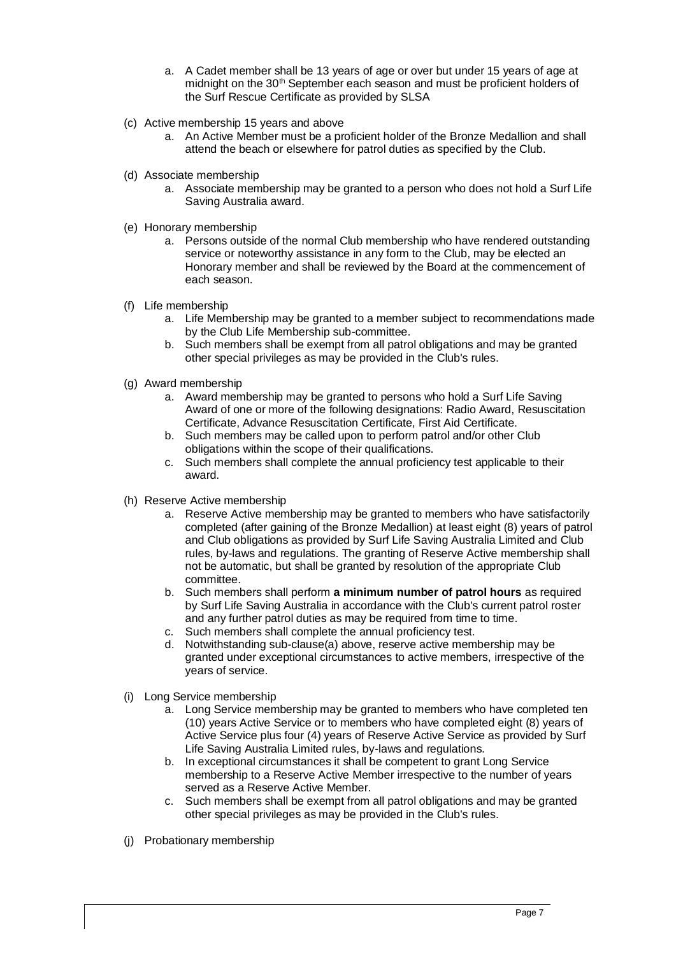- a. A Cadet member shall be 13 years of age or over but under 15 years of age at midnight on the 30<sup>th</sup> September each season and must be proficient holders of the Surf Rescue Certificate as provided by SLSA
- (c) Active membership 15 years and above
	- a. An Active Member must be a proficient holder of the Bronze Medallion and shall attend the beach or elsewhere for patrol duties as specified by the Club.
- (d) Associate membership
	- a. Associate membership may be granted to a person who does not hold a Surf Life Saving Australia award.
- (e) Honorary membership
	- a. Persons outside of the normal Club membership who have rendered outstanding service or noteworthy assistance in any form to the Club, may be elected an Honorary member and shall be reviewed by the Board at the commencement of each season.
- (f) Life membership
	- a. Life Membership may be granted to a member subject to recommendations made by the Club Life Membership sub-committee.
	- b. Such members shall be exempt from all patrol obligations and may be granted other special privileges as may be provided in the Club's rules.
- (g) Award membership
	- a. Award membership may be granted to persons who hold a Surf Life Saving Award of one or more of the following designations: Radio Award, Resuscitation Certificate, Advance Resuscitation Certificate, First Aid Certificate.
	- b. Such members may be called upon to perform patrol and/or other Club obligations within the scope of their qualifications.
	- c. Such members shall complete the annual proficiency test applicable to their award.
- (h) Reserve Active membership
	- a. Reserve Active membership may be granted to members who have satisfactorily completed (after gaining of the Bronze Medallion) at least eight (8) years of patrol and Club obligations as provided by Surf Life Saving Australia Limited and Club rules, by-laws and regulations. The granting of Reserve Active membership shall not be automatic, but shall be granted by resolution of the appropriate Club committee.
	- b. Such members shall perform **a minimum number of patrol hours** as required by Surf Life Saving Australia in accordance with the Club's current patrol roster and any further patrol duties as may be required from time to time.
	- c. Such members shall complete the annual proficiency test.
	- d. Notwithstanding sub-clause(a) above, reserve active membership may be granted under exceptional circumstances to active members, irrespective of the years of service.
- (i) Long Service membership
	- a. Long Service membership may be granted to members who have completed ten (10) years Active Service or to members who have completed eight (8) years of Active Service plus four (4) years of Reserve Active Service as provided by Surf Life Saving Australia Limited rules, by-laws and regulations.
	- b. In exceptional circumstances it shall be competent to grant Long Service membership to a Reserve Active Member irrespective to the number of years served as a Reserve Active Member.
	- c. Such members shall be exempt from all patrol obligations and may be granted other special privileges as may be provided in the Club's rules.
- (j) Probationary membership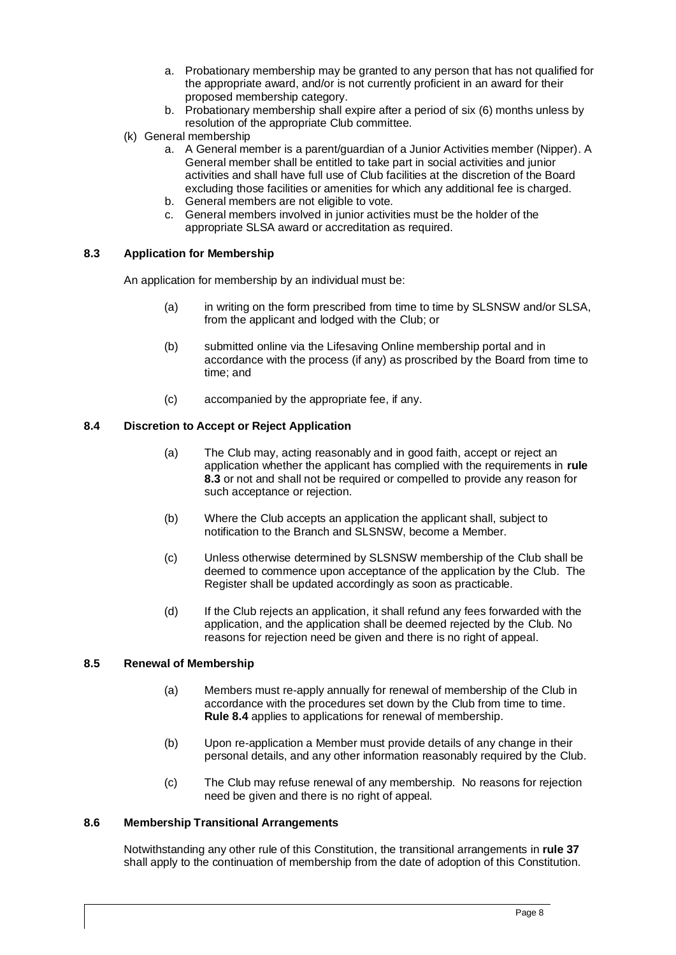- a. Probationary membership may be granted to any person that has not qualified for the appropriate award, and/or is not currently proficient in an award for their proposed membership category.
- b. Probationary membership shall expire after a period of six (6) months unless by resolution of the appropriate Club committee.
- (k) General membership
	- a. A General member is a parent/guardian of a Junior Activities member (Nipper). A General member shall be entitled to take part in social activities and junior activities and shall have full use of Club facilities at the discretion of the Board excluding those facilities or amenities for which any additional fee is charged.
	- b. General members are not eligible to vote.
	- c. General members involved in junior activities must be the holder of the appropriate SLSA award or accreditation as required.

# <span id="page-11-0"></span>**8.3 Application for Membership**

An application for membership by an individual must be:

- (a) in writing on the form prescribed from time to time by SLSNSW and/or SLSA, from the applicant and lodged with the Club; or
- (b) submitted online via the Lifesaving Online membership portal and in accordance with the process (if any) as proscribed by the Board from time to time; and
- (c) accompanied by the appropriate fee, if any.

# <span id="page-11-1"></span>**8.4 Discretion to Accept or Reject Application**

- (a) The Club may, acting reasonably and in good faith, accept or reject an application whether the applicant has complied with the requirements in **rule 8.3** or not and shall not be required or compelled to provide any reason for such acceptance or rejection.
- (b) Where the Club accepts an application the applicant shall, subject to notification to the Branch and SLSNSW, become a Member.
- (c) Unless otherwise determined by SLSNSW membership of the Club shall be deemed to commence upon acceptance of the application by the Club. The Register shall be updated accordingly as soon as practicable.
- (d) If the Club rejects an application, it shall refund any fees forwarded with the application, and the application shall be deemed rejected by the Club. No reasons for rejection need be given and there is no right of appeal.

# <span id="page-11-2"></span>**8.5 Renewal of Membership**

- (a) Members must re-apply annually for renewal of membership of the Club in accordance with the procedures set down by the Club from time to time. **Rule 8.4** applies to applications for renewal of membership.
- (b) Upon re-application a Member must provide details of any change in their personal details, and any other information reasonably required by the Club.
- (c) The Club may refuse renewal of any membership. No reasons for rejection need be given and there is no right of appeal.

# <span id="page-11-3"></span>**8.6 Membership Transitional Arrangements**

Notwithstanding any other rule of this Constitution, the transitional arrangements in **rule 37** shall apply to the continuation of membership from the date of adoption of this Constitution.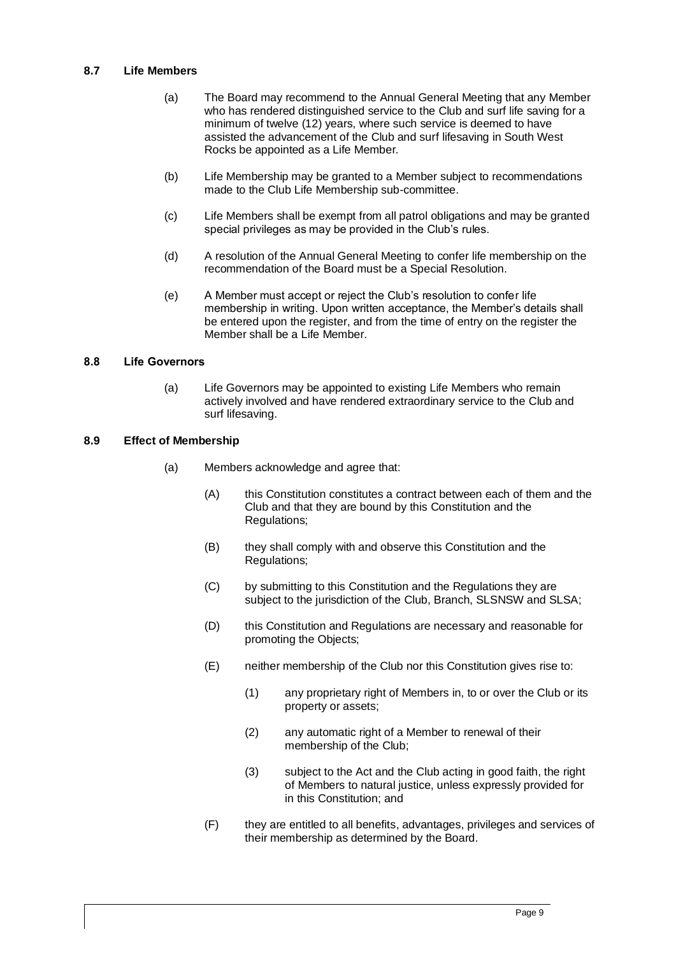# <span id="page-12-0"></span>**8.7 Life Members**

- (a) The Board may recommend to the Annual General Meeting that any Member who has rendered distinguished service to the Club and surf life saving for a minimum of twelve (12) years, where such service is deemed to have assisted the advancement of the Club and surf lifesaving in South West Rocks be appointed as a Life Member.
- (b) Life Membership may be granted to a Member subject to recommendations made to the Club Life Membership sub-committee.
- (c) Life Members shall be exempt from all patrol obligations and may be granted special privileges as may be provided in the Club's rules.
- (d) A resolution of the Annual General Meeting to confer life membership on the recommendation of the Board must be a Special Resolution.
- (e) A Member must accept or reject the Club's resolution to confer life membership in writing. Upon written acceptance, the Member's details shall be entered upon the register, and from the time of entry on the register the Member shall be a Life Member.

#### **8.8 Life Governors**

(a) Life Governors may be appointed to existing Life Members who remain actively involved and have rendered extraordinary service to the Club and surf lifesaving.

# <span id="page-12-1"></span>**8.9 Effect of Membership**

- (a) Members acknowledge and agree that:
	- (A) this Constitution constitutes a contract between each of them and the Club and that they are bound by this Constitution and the Regulations;
	- (B) they shall comply with and observe this Constitution and the Regulations;
	- (C) by submitting to this Constitution and the Regulations they are subject to the jurisdiction of the Club, Branch, SLSNSW and SLSA;
	- (D) this Constitution and Regulations are necessary and reasonable for promoting the Objects;
	- (E) neither membership of the Club nor this Constitution gives rise to:
		- (1) any proprietary right of Members in, to or over the Club or its property or assets;
		- (2) any automatic right of a Member to renewal of their membership of the Club;
		- (3) subject to the Act and the Club acting in good faith, the right of Members to natural justice, unless expressly provided for in this Constitution; and
	- (F) they are entitled to all benefits, advantages, privileges and services of their membership as determined by the Board.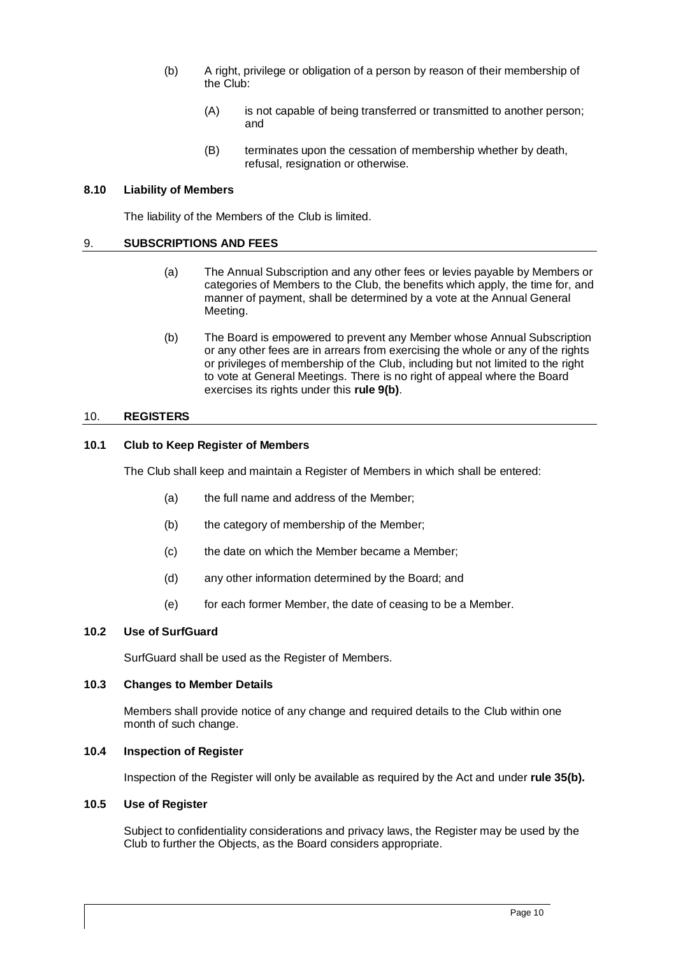- (b) A right, privilege or obligation of a person by reason of their membership of the Club:
	- (A) is not capable of being transferred or transmitted to another person; and
	- (B) terminates upon the cessation of membership whether by death, refusal, resignation or otherwise.

#### <span id="page-13-0"></span>**8.10 Liability of Members**

The liability of the Members of the Club is limited.

#### <span id="page-13-1"></span>9. **SUBSCRIPTIONS AND FEES**

- (a) The Annual Subscription and any other fees or levies payable by Members or categories of Members to the Club, the benefits which apply, the time for, and manner of payment, shall be determined by a vote at the Annual General Meeting.
- (b) The Board is empowered to prevent any Member whose Annual Subscription or any other fees are in arrears from exercising the whole or any of the rights or privileges of membership of the Club, including but not limited to the right to vote at General Meetings. There is no right of appeal where the Board exercises its rights under this **rule 9(b)**.

#### <span id="page-13-2"></span>10. **REGISTERS**

#### <span id="page-13-3"></span>**10.1 Club to Keep Register of Members**

The Club shall keep and maintain a Register of Members in which shall be entered:

- (a) the full name and address of the Member;
- (b) the category of membership of the Member;
- (c) the date on which the Member became a Member;
- (d) any other information determined by the Board; and
- (e) for each former Member, the date of ceasing to be a Member.

# <span id="page-13-8"></span><span id="page-13-4"></span>**10.2 Use of SurfGuard**

SurfGuard shall be used as the Register of Members.

#### <span id="page-13-5"></span>**10.3 Changes to Member Details**

Members shall provide notice of any change and required details to the Club within one month of such change.

#### <span id="page-13-6"></span>**10.4 Inspection of Register**

Inspection of the Register will only be available as required by the Act and under **rule 35(b).**

# <span id="page-13-7"></span>**10.5 Use of Register**

Subject to confidentiality considerations and privacy laws, the Register may be used by the Club to further the Objects, as the Board considers appropriate.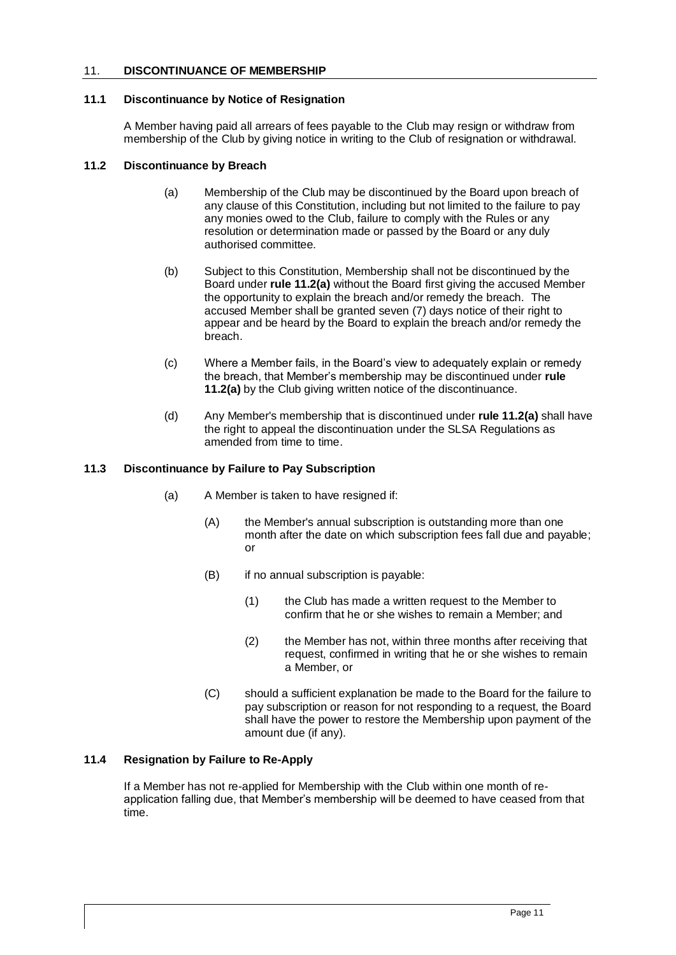# <span id="page-14-0"></span>11. **DISCONTINUANCE OF MEMBERSHIP**

# <span id="page-14-1"></span>**11.1 Discontinuance by Notice of Resignation**

A Member having paid all arrears of fees payable to the Club may resign or withdraw from membership of the Club by giving notice in writing to the Club of resignation or withdrawal.

#### <span id="page-14-5"></span><span id="page-14-2"></span>**11.2 Discontinuance by Breach**

- (a) Membership of the Club may be discontinued by the Board upon breach of any clause of this Constitution, including but not limited to the failure to pay any monies owed to the Club, failure to comply with the Rules or any resolution or determination made or passed by the Board or any duly authorised committee.
- (b) Subject to this Constitution, Membership shall not be discontinued by the Board under **rule [11.2\(a\)](#page-14-5)** without the Board first giving the accused Member the opportunity to explain the breach and/or remedy the breach. The accused Member shall be granted seven (7) days notice of their right to appear and be heard by the Board to explain the breach and/or remedy the breach.
- (c) Where a Member fails, in the Board's view to adequately explain or remedy the breach, that Member's membership may be discontinued under **rule [11.2\(a\)](#page-14-5)** by the Club giving written notice of the discontinuance.
- (d) Any Member's membership that is discontinued under **rule [11.2\(a\)](#page-14-5)** shall have the right to appeal the discontinuation under the SLSA Regulations as amended from time to time.

# <span id="page-14-3"></span>**11.3 Discontinuance by Failure to Pay Subscription**

- (a) A Member is taken to have resigned if:
	- (A) the Member's annual subscription is outstanding more than one month after the date on which subscription fees fall due and payable; or
	- (B) if no annual subscription is payable:
		- (1) the Club has made a written request to the Member to confirm that he or she wishes to remain a Member; and
		- (2) the Member has not, within three months after receiving that request, confirmed in writing that he or she wishes to remain a Member, or
	- (C) should a sufficient explanation be made to the Board for the failure to pay subscription or reason for not responding to a request, the Board shall have the power to restore the Membership upon payment of the amount due (if any).

# <span id="page-14-4"></span>**11.4 Resignation by Failure to Re-Apply**

If a Member has not re-applied for Membership with the Club within one month of reapplication falling due, that Member's membership will be deemed to have ceased from that time.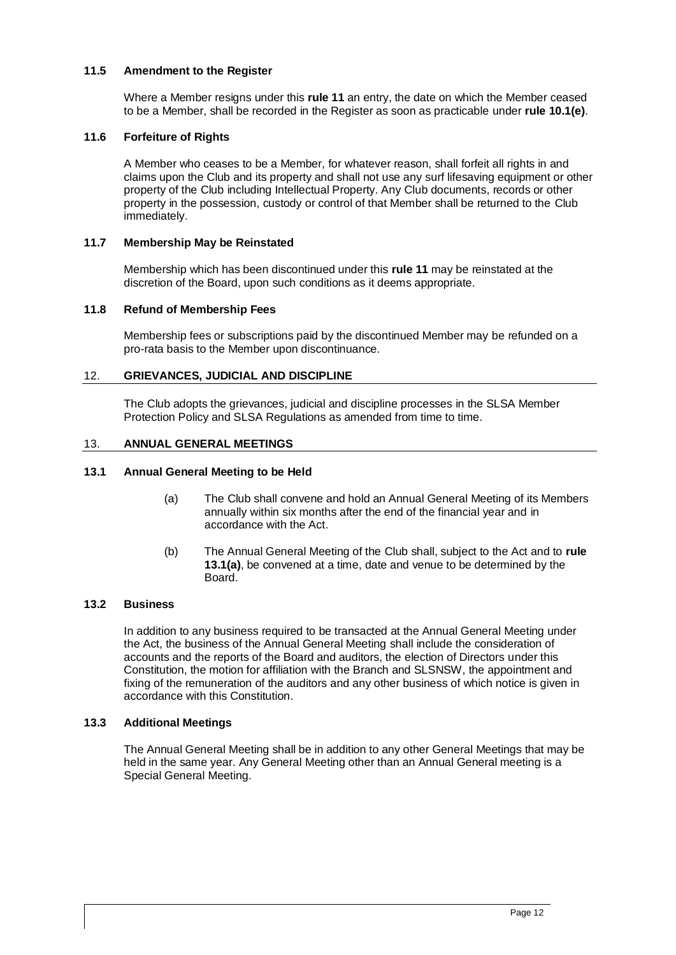# <span id="page-15-0"></span>**11.5 Amendment to the Register**

Where a Member resigns under this **rule [11](#page-14-0)** an entry, the date on which the Member ceased to be a Member, shall be recorded in the Register as soon as practicable under **rule [10.1\(e\)](#page-13-8)**.

# <span id="page-15-1"></span>**11.6 Forfeiture of Rights**

A Member who ceases to be a Member, for whatever reason, shall forfeit all rights in and claims upon the Club and its property and shall not use any surf lifesaving equipment or other property of the Club including Intellectual Property. Any Club documents, records or other property in the possession, custody or control of that Member shall be returned to the Club immediately.

# <span id="page-15-2"></span>**11.7 Membership May be Reinstated**

Membership which has been discontinued under this **rule [11](#page-14-0)** may be reinstated at the discretion of the Board, upon such conditions as it deems appropriate.

#### <span id="page-15-3"></span>**11.8 Refund of Membership Fees**

Membership fees or subscriptions paid by the discontinued Member may be refunded on a pro-rata basis to the Member upon discontinuance.

#### <span id="page-15-4"></span>12. **GRIEVANCES, JUDICIAL AND DISCIPLINE**

The Club adopts the grievances, judicial and discipline processes in the SLSA Member Protection Policy and SLSA Regulations as amended from time to time.

#### <span id="page-15-5"></span>13. **ANNUAL GENERAL MEETINGS**

# <span id="page-15-9"></span><span id="page-15-6"></span>**13.1 Annual General Meeting to be Held**

- (a) The Club shall convene and hold an Annual General Meeting of its Members annually within six months after the end of the financial year and in accordance with the Act.
- (b) The Annual General Meeting of the Club shall, subject to the Act and to **rule [13.1\(a\)](#page-15-9)**, be convened at a time, date and venue to be determined by the Board.

# <span id="page-15-7"></span>**13.2 Business**

In addition to any business required to be transacted at the Annual General Meeting under the Act, the business of the Annual General Meeting shall include the consideration of accounts and the reports of the Board and auditors, the election of Directors under this Constitution, the motion for affiliation with the Branch and SLSNSW, the appointment and fixing of the remuneration of the auditors and any other business of which notice is given in accordance with this Constitution.

#### <span id="page-15-8"></span>**13.3 Additional Meetings**

The Annual General Meeting shall be in addition to any other General Meetings that may be held in the same year. Any General Meeting other than an Annual General meeting is a Special General Meeting.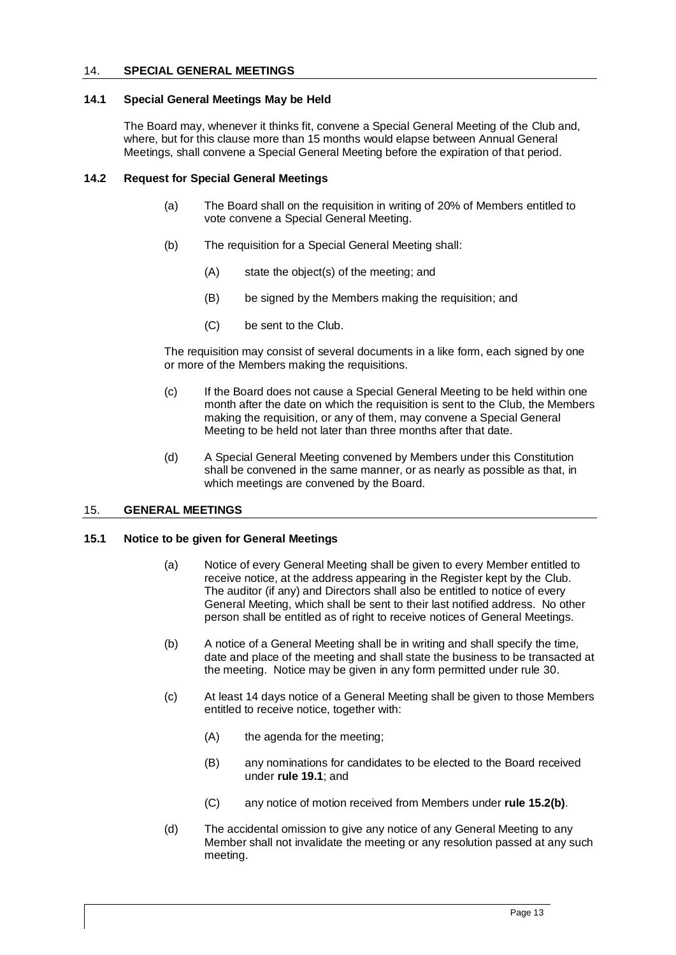# <span id="page-16-0"></span>14. **SPECIAL GENERAL MEETINGS**

#### <span id="page-16-1"></span>**14.1 Special General Meetings May be Held**

The Board may, whenever it thinks fit, convene a Special General Meeting of the Club and, where, but for this clause more than 15 months would elapse between Annual General Meetings, shall convene a Special General Meeting before the expiration of that period.

#### <span id="page-16-2"></span>**14.2 Request for Special General Meetings**

- (a) The Board shall on the requisition in writing of 20% of Members entitled to vote convene a Special General Meeting.
- (b) The requisition for a Special General Meeting shall:
	- (A) state the object(s) of the meeting; and
	- (B) be signed by the Members making the requisition; and
	- (C) be sent to the Club.

The requisition may consist of several documents in a like form, each signed by one or more of the Members making the requisitions.

- (c) If the Board does not cause a Special General Meeting to be held within one month after the date on which the requisition is sent to the Club, the Members making the requisition, or any of them, may convene a Special General Meeting to be held not later than three months after that date.
- (d) A Special General Meeting convened by Members under this Constitution shall be convened in the same manner, or as nearly as possible as that, in which meetings are convened by the Board.

# <span id="page-16-3"></span>15. **GENERAL MEETINGS**

### <span id="page-16-4"></span>**15.1 Notice to be given for General Meetings**

- (a) Notice of every General Meeting shall be given to every Member entitled to receive notice, at the address appearing in the Register kept by the Club. The auditor (if any) and Directors shall also be entitled to notice of every General Meeting, which shall be sent to their last notified address. No other person shall be entitled as of right to receive notices of General Meetings.
- (b) A notice of a General Meeting shall be in writing and shall specify the time, date and place of the meeting and shall state the business to be transacted at the meeting. Notice may be given in any form permitted under rule 30.
- (c) At least 14 days notice of a General Meeting shall be given to those Members entitled to receive notice, together with:
	- (A) the agenda for the meeting;
	- (B) any nominations for candidates to be elected to the Board received under **rule [19.1](#page-21-1)**; and
	- (C) any notice of motion received from Members under **rule [15.2\(b\)](#page-17-4)**.
- (d) The accidental omission to give any notice of any General Meeting to any Member shall not invalidate the meeting or any resolution passed at any such meeting.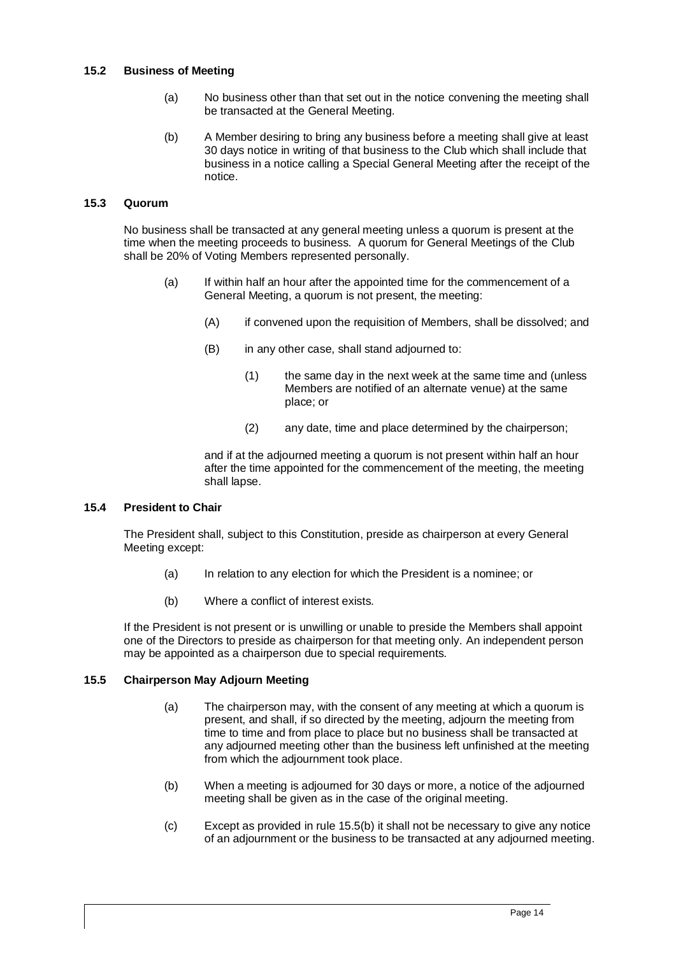# <span id="page-17-0"></span>**15.2 Business of Meeting**

- (a) No business other than that set out in the notice convening the meeting shall be transacted at the General Meeting.
- (b) A Member desiring to bring any business before a meeting shall give at least 30 days notice in writing of that business to the Club which shall include that business in a notice calling a Special General Meeting after the receipt of the notice.

#### <span id="page-17-4"></span><span id="page-17-1"></span>**15.3 Quorum**

No business shall be transacted at any general meeting unless a quorum is present at the time when the meeting proceeds to business. A quorum for General Meetings of the Club shall be 20% of Voting Members represented personally.

- (a) If within half an hour after the appointed time for the commencement of a General Meeting, a quorum is not present, the meeting:
	- (A) if convened upon the requisition of Members, shall be dissolved; and
	- (B) in any other case, shall stand adjourned to:
		- (1) the same day in the next week at the same time and (unless Members are notified of an alternate venue) at the same place; or
		- (2) any date, time and place determined by the chairperson;

and if at the adjourned meeting a quorum is not present within half an hour after the time appointed for the commencement of the meeting, the meeting shall lapse.

# <span id="page-17-2"></span>**15.4 President to Chair**

The President shall, subject to this Constitution, preside as chairperson at every General Meeting except:

- (a) In relation to any election for which the President is a nominee; or
- (b) Where a conflict of interest exists.

If the President is not present or is unwilling or unable to preside the Members shall appoint one of the Directors to preside as chairperson for that meeting only. An independent person may be appointed as a chairperson due to special requirements.

# <span id="page-17-3"></span>**15.5 Chairperson May Adjourn Meeting**

- (a) The chairperson may, with the consent of any meeting at which a quorum is present, and shall, if so directed by the meeting, adjourn the meeting from time to time and from place to place but no business shall be transacted at any adjourned meeting other than the business left unfinished at the meeting from which the adjournment took place.
- <span id="page-17-5"></span>(b) When a meeting is adjourned for 30 days or more, a notice of the adjourned meeting shall be given as in the case of the original meeting.
- (c) Except as provided in rule [15.5\(b\)](#page-17-5) it shall not be necessary to give any notice of an adjournment or the business to be transacted at any adjourned meeting.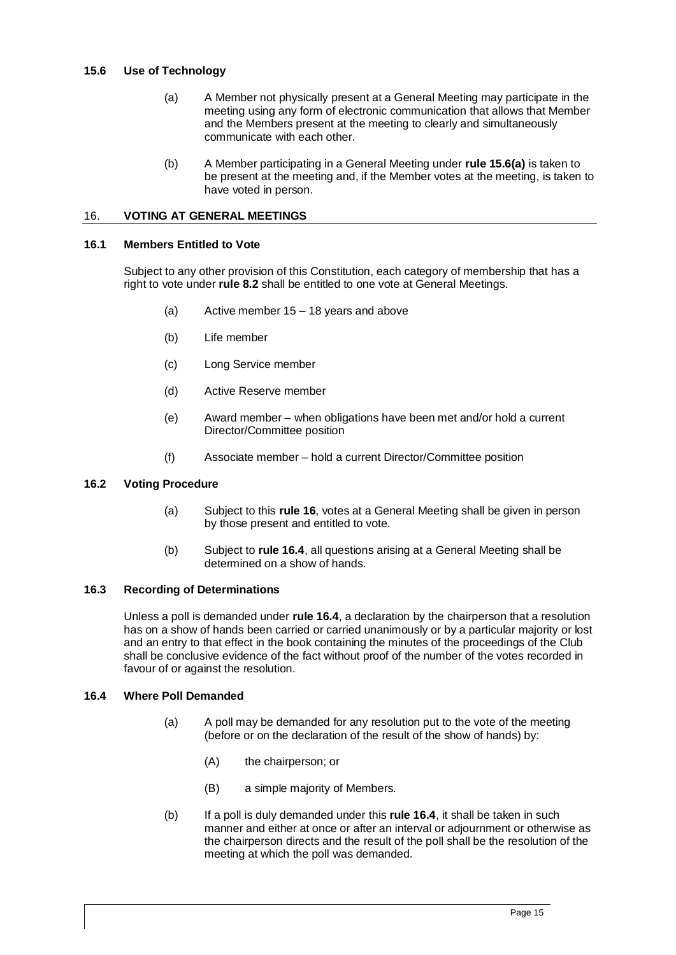# <span id="page-18-6"></span><span id="page-18-0"></span>**15.6 Use of Technology**

- (a) A Member not physically present at a General Meeting may participate in the meeting using any form of electronic communication that allows that Member and the Members present at the meeting to clearly and simultaneously communicate with each other.
- (b) A Member participating in a General Meeting under **rul[e 15.6\(a\)](#page-18-6)** is taken to be present at the meeting and, if the Member votes at the meeting, is taken to have voted in person.

# <span id="page-18-1"></span>16. **VOTING AT GENERAL MEETINGS**

# <span id="page-18-2"></span>**16.1 Members Entitled to Vote**

Subject to any other provision of this Constitution, each category of membership that has a right to vote under **rule 8.2** shall be entitled to one vote at General Meetings.

- (a) Active member 15 18 years and above
- (b) Life member
- (c) Long Service member
- (d) Active Reserve member
- (e) Award member when obligations have been met and/or hold a current Director/Committee position
- (f) Associate member hold a current Director/Committee position

# <span id="page-18-3"></span>**16.2 Voting Procedure**

- (a) Subject to this **rule [16](#page-18-1)**, votes at a General Meeting shall be given in person by those present and entitled to vote.
- (b) Subject to **rule [16.4](#page-18-5)**, all questions arising at a General Meeting shall be determined on a show of hands.

# <span id="page-18-4"></span>**16.3 Recording of Determinations**

Unless a poll is demanded under **rul[e 16.4](#page-18-5)**, a declaration by the chairperson that a resolution has on a show of hands been carried or carried unanimously or by a particular majority or lost and an entry to that effect in the book containing the minutes of the proceedings of the Club shall be conclusive evidence of the fact without proof of the number of the votes recorded in favour of or against the resolution.

# <span id="page-18-5"></span>**16.4 Where Poll Demanded**

- (a) A poll may be demanded for any resolution put to the vote of the meeting (before or on the declaration of the result of the show of hands) by:
	- (A) the chairperson; or
	- (B) a simple majority of Members.
- (b) If a poll is duly demanded under this **rule [16.4](#page-18-5)**, it shall be taken in such manner and either at once or after an interval or adjournment or otherwise as the chairperson directs and the result of the poll shall be the resolution of the meeting at which the poll was demanded.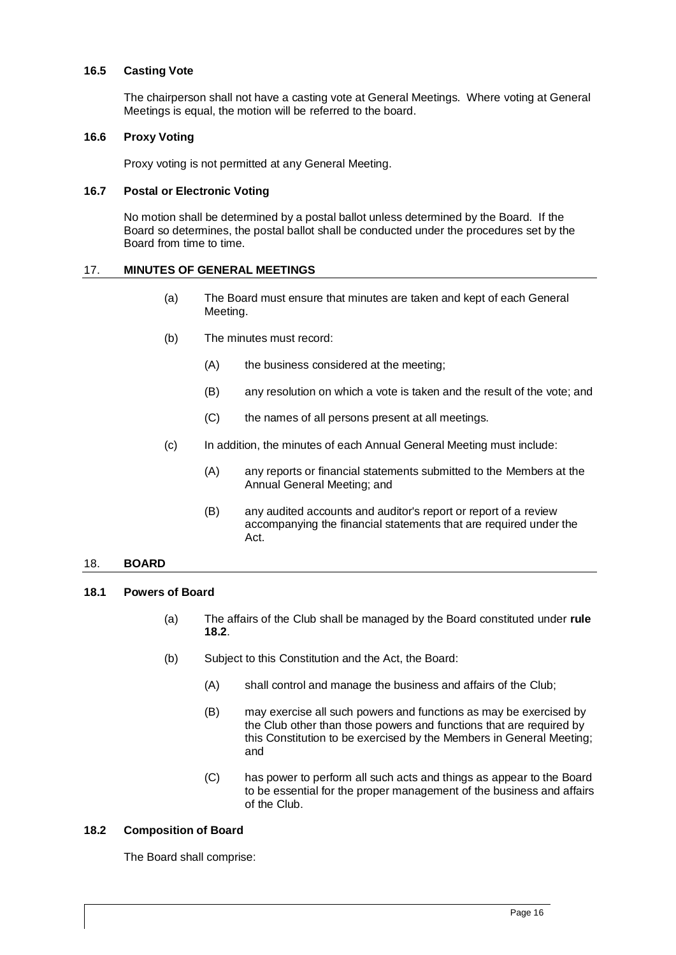# <span id="page-19-0"></span>**16.5 Casting Vote**

The chairperson shall not have a casting vote at General Meetings. Where voting at General Meetings is equal, the motion will be referred to the board.

#### <span id="page-19-1"></span>**16.6 Proxy Voting**

Proxy voting is not permitted at any General Meeting.

#### <span id="page-19-2"></span>**16.7 Postal or Electronic Voting**

No motion shall be determined by a postal ballot unless determined by the Board. If the Board so determines, the postal ballot shall be conducted under the procedures set by the Board from time to time.

#### <span id="page-19-3"></span>17. **MINUTES OF GENERAL MEETINGS**

- (a) The Board must ensure that minutes are taken and kept of each General Meeting.
- (b) The minutes must record:
	- (A) the business considered at the meeting;
	- (B) any resolution on which a vote is taken and the result of the vote; and
	- (C) the names of all persons present at all meetings.
- (c) In addition, the minutes of each Annual General Meeting must include:
	- (A) any reports or financial statements submitted to the Members at the Annual General Meeting; and
	- (B) any audited accounts and auditor's report or report of a review accompanying the financial statements that are required under the Act.

# <span id="page-19-4"></span>18. **BOARD**

# <span id="page-19-7"></span><span id="page-19-5"></span>**18.1 Powers of Board**

- (a) The affairs of the Club shall be managed by the Board constituted under **rule [18.2](#page-19-6)**.
- (b) Subject to this Constitution and the Act, the Board:
	- (A) shall control and manage the business and affairs of the Club;
	- (B) may exercise all such powers and functions as may be exercised by the Club other than those powers and functions that are required by this Constitution to be exercised by the Members in General Meeting; and
	- (C) has power to perform all such acts and things as appear to the Board to be essential for the proper management of the business and affairs of the Club.

# <span id="page-19-6"></span>**18.2 Composition of Board**

The Board shall comprise: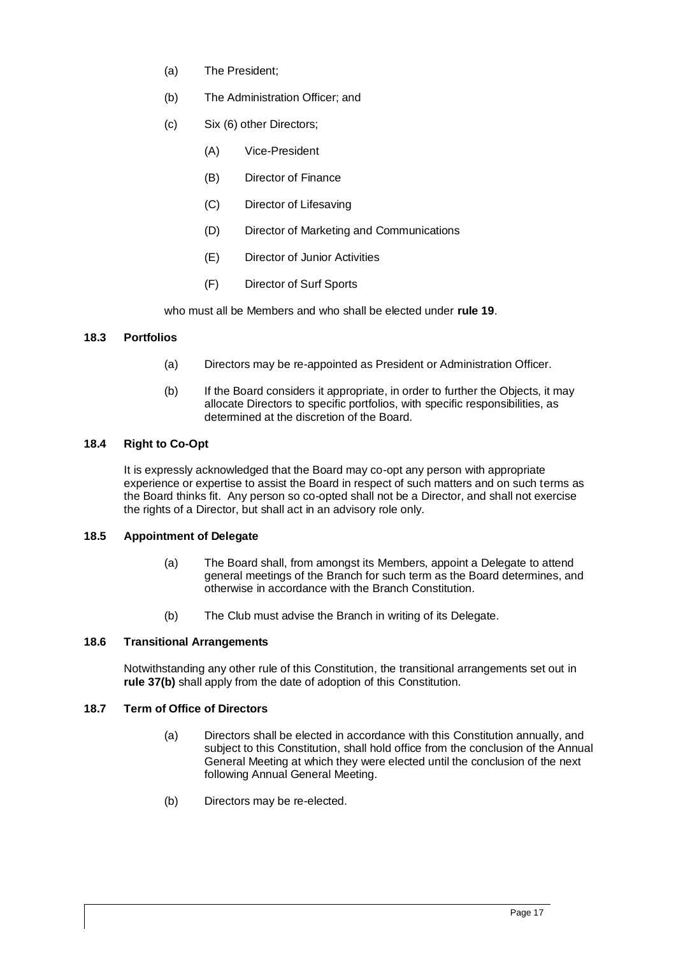- <span id="page-20-4"></span>(a) The President;
- (b) The Administration Officer; and
- (c) Six (6) other Directors;
	- (A) Vice-President
	- (B) Director of Finance
	- (C) Director of Lifesaving
	- (D) Director of Marketing and Communications
	- (E) Director of Junior Activities
	- (F) Director of Surf Sports

who must all be Members and who shall be elected under **rul[e 19](#page-21-0)**.

# **18.3 Portfolios**

- (a) Directors may be re-appointed as President or Administration Officer.
- (b) If the Board considers it appropriate, in order to further the Objects, it may allocate Directors to specific portfolios, with specific responsibilities, as determined at the discretion of the Board.

# <span id="page-20-0"></span>**18.4 Right to Co-Opt**

It is expressly acknowledged that the Board may co-opt any person with appropriate experience or expertise to assist the Board in respect of such matters and on such terms as the Board thinks fit. Any person so co-opted shall not be a Director, and shall not exercise the rights of a Director, but shall act in an advisory role only.

# <span id="page-20-1"></span>**18.5 Appointment of Delegate**

- (a) The Board shall, from amongst its Members, appoint a Delegate to attend general meetings of the Branch for such term as the Board determines, and otherwise in accordance with the Branch Constitution.
- (b) The Club must advise the Branch in writing of its Delegate.

# <span id="page-20-2"></span>**18.6 Transitional Arrangements**

Notwithstanding any other rule of this Constitution, the transitional arrangements set out in **rule 37(b)** shall apply from the date of adoption of this Constitution.

# <span id="page-20-3"></span>**18.7 Term of Office of Directors**

- (a) Directors shall be elected in accordance with this Constitution annually, and subject to this Constitution, shall hold office from the conclusion of the Annual General Meeting at which they were elected until the conclusion of the next following Annual General Meeting.
- (b) Directors may be re-elected.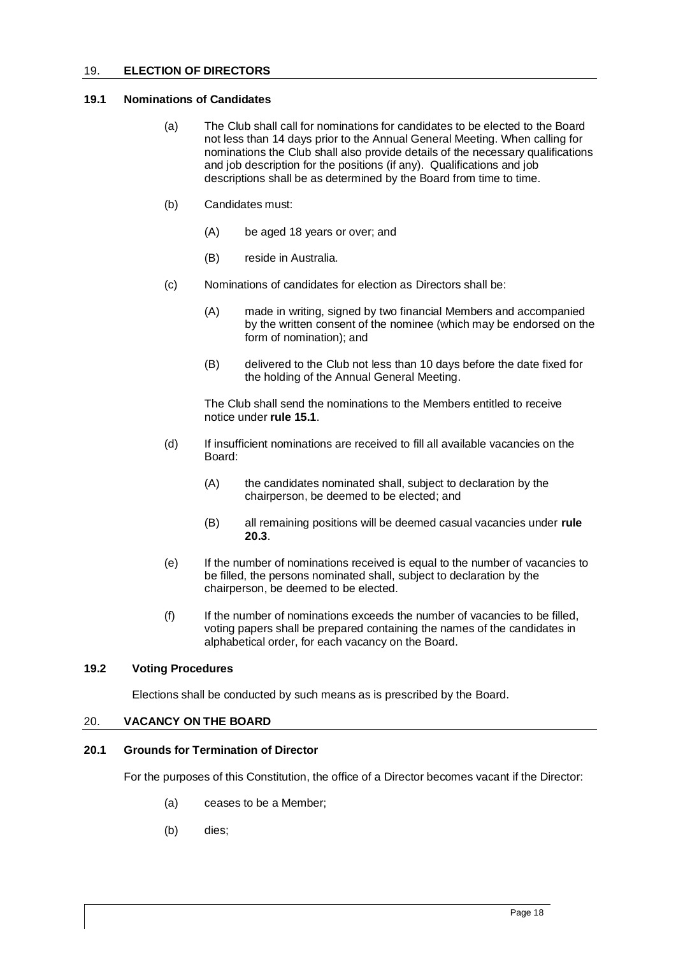# <span id="page-21-0"></span>19. **ELECTION OF DIRECTORS**

#### <span id="page-21-1"></span>**19.1 Nominations of Candidates**

- (a) The Club shall call for nominations for candidates to be elected to the Board not less than 14 days prior to the Annual General Meeting. When calling for nominations the Club shall also provide details of the necessary qualifications and job description for the positions (if any). Qualifications and job descriptions shall be as determined by the Board from time to time.
- (b) Candidates must:
	- (A) be aged 18 years or over; and
	- (B) reside in Australia.
- (c) Nominations of candidates for election as Directors shall be:
	- (A) made in writing, signed by two financial Members and accompanied by the written consent of the nominee (which may be endorsed on the form of nomination); and
	- (B) delivered to the Club not less than 10 days before the date fixed for the holding of the Annual General Meeting.

The Club shall send the nominations to the Members entitled to receive notice under **rule [15.1](#page-16-4)**.

- (d) If insufficient nominations are received to fill all available vacancies on the Board:
	- (A) the candidates nominated shall, subject to declaration by the chairperson, be deemed to be elected; and
	- (B) all remaining positions will be deemed casual vacancies under **rule [20.3](#page-22-1)**.
- (e) If the number of nominations received is equal to the number of vacancies to be filled, the persons nominated shall, subject to declaration by the chairperson, be deemed to be elected.
- (f) If the number of nominations exceeds the number of vacancies to be filled, voting papers shall be prepared containing the names of the candidates in alphabetical order, for each vacancy on the Board.

# <span id="page-21-2"></span>**19.2 Voting Procedures**

Elections shall be conducted by such means as is prescribed by the Board.

#### <span id="page-21-3"></span>20. **VACANCY ON THE BOARD**

# <span id="page-21-4"></span>**20.1 Grounds for Termination of Director**

For the purposes of this Constitution, the office of a Director becomes vacant if the Director:

- (a) ceases to be a Member;
- (b) dies;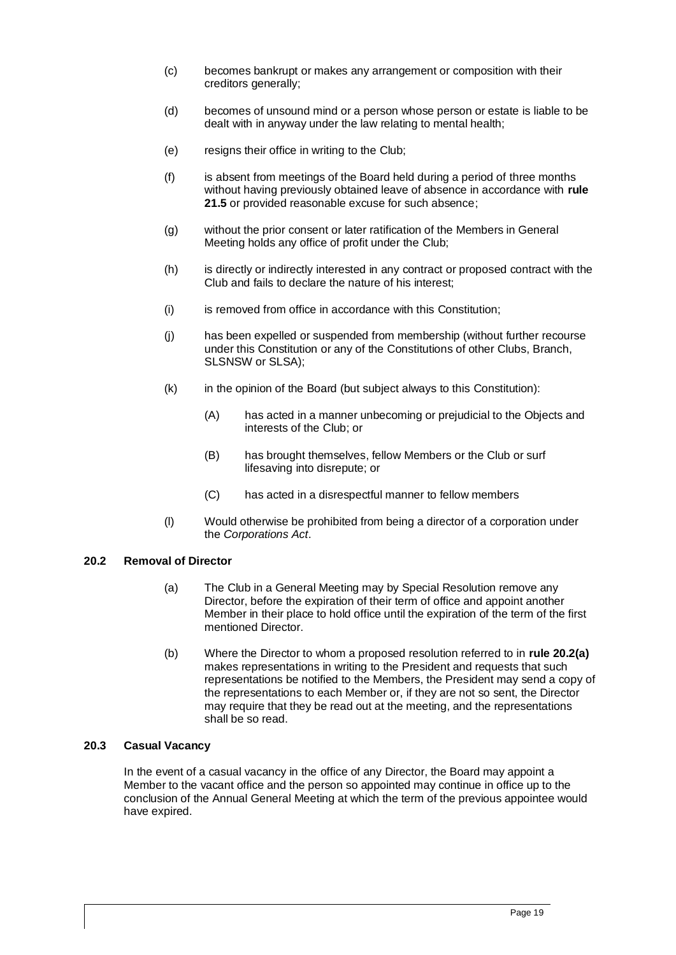- (c) becomes bankrupt or makes any arrangement or composition with their creditors generally;
- (d) becomes of unsound mind or a person whose person or estate is liable to be dealt with in anyway under the law relating to mental health;
- (e) resigns their office in writing to the Club;
- (f) is absent from meetings of the Board held during a period of three months without having previously obtained leave of absence in accordance with **rule [21.5](#page-24-0)** or provided reasonable excuse for such absence;
- (g) without the prior consent or later ratification of the Members in General Meeting holds any office of profit under the Club;
- (h) is directly or indirectly interested in any contract or proposed contract with the Club and fails to declare the nature of his interest;
- (i) is removed from office in accordance with this Constitution;
- (j) has been expelled or suspended from membership (without further recourse under this Constitution or any of the Constitutions of other Clubs, Branch, SLSNSW or SLSA);
- $(k)$  in the opinion of the Board (but subject always to this Constitution):
	- (A) has acted in a manner unbecoming or prejudicial to the Objects and interests of the Club; or
	- (B) has brought themselves, fellow Members or the Club or surf lifesaving into disrepute; or
	- (C) has acted in a disrespectful manner to fellow members
- (l) Would otherwise be prohibited from being a director of a corporation under the *Corporations Act*.

# <span id="page-22-2"></span><span id="page-22-0"></span>**20.2 Removal of Director**

- (a) The Club in a General Meeting may by Special Resolution remove any Director, before the expiration of their term of office and appoint another Member in their place to hold office until the expiration of the term of the first mentioned Director.
- (b) Where the Director to whom a proposed resolution referred to in **rule [20.2](#page-22-0)[\(a\)](#page-22-2)** makes representations in writing to the President and requests that such representations be notified to the Members, the President may send a copy of the representations to each Member or, if they are not so sent, the Director may require that they be read out at the meeting, and the representations shall be so read.

#### <span id="page-22-1"></span>**20.3 Casual Vacancy**

In the event of a casual vacancy in the office of any Director, the Board may appoint a Member to the vacant office and the person so appointed may continue in office up to the conclusion of the Annual General Meeting at which the term of the previous appointee would have expired.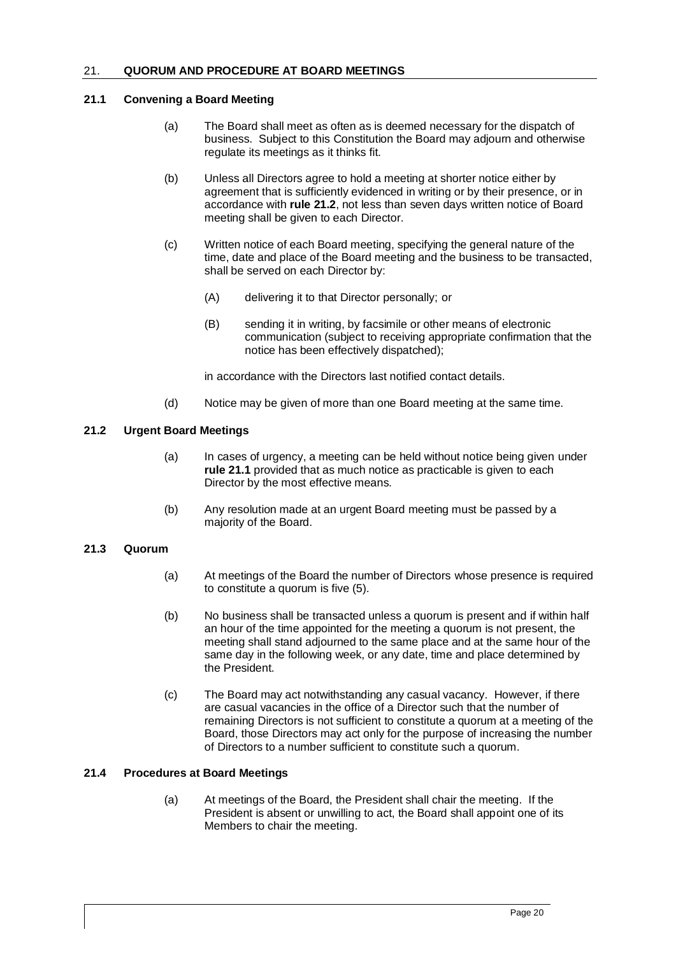# <span id="page-23-0"></span>21. **QUORUM AND PROCEDURE AT BOARD MEETINGS**

# <span id="page-23-1"></span>**21.1 Convening a Board Meeting**

- (a) The Board shall meet as often as is deemed necessary for the dispatch of business. Subject to this Constitution the Board may adjourn and otherwise regulate its meetings as it thinks fit.
- (b) Unless all Directors agree to hold a meeting at shorter notice either by agreement that is sufficiently evidenced in writing or by their presence, or in accordance with **rule [21.2](#page-23-2)**, not less than seven days written notice of Board meeting shall be given to each Director.
- (c) Written notice of each Board meeting, specifying the general nature of the time, date and place of the Board meeting and the business to be transacted, shall be served on each Director by:
	- (A) delivering it to that Director personally; or
	- (B) sending it in writing, by facsimile or other means of electronic communication (subject to receiving appropriate confirmation that the notice has been effectively dispatched);

in accordance with the Directors last notified contact details.

(d) Notice may be given of more than one Board meeting at the same time.

# <span id="page-23-2"></span>**21.2 Urgent Board Meetings**

- (a) In cases of urgency, a meeting can be held without notice being given under **rule [21.1](#page-23-1)** provided that as much notice as practicable is given to each Director by the most effective means.
- (b) Any resolution made at an urgent Board meeting must be passed by a majority of the Board.

# <span id="page-23-3"></span>**21.3 Quorum**

- (a) At meetings of the Board the number of Directors whose presence is required to constitute a quorum is five (5).
- (b) No business shall be transacted unless a quorum is present and if within half an hour of the time appointed for the meeting a quorum is not present, the meeting shall stand adjourned to the same place and at the same hour of the same day in the following week, or any date, time and place determined by the President.
- (c) The Board may act notwithstanding any casual vacancy. However, if there are casual vacancies in the office of a Director such that the number of remaining Directors is not sufficient to constitute a quorum at a meeting of the Board, those Directors may act only for the purpose of increasing the number of Directors to a number sufficient to constitute such a quorum.

# <span id="page-23-4"></span>**21.4 Procedures at Board Meetings**

(a) At meetings of the Board, the President shall chair the meeting. If the President is absent or unwilling to act, the Board shall appoint one of its Members to chair the meeting.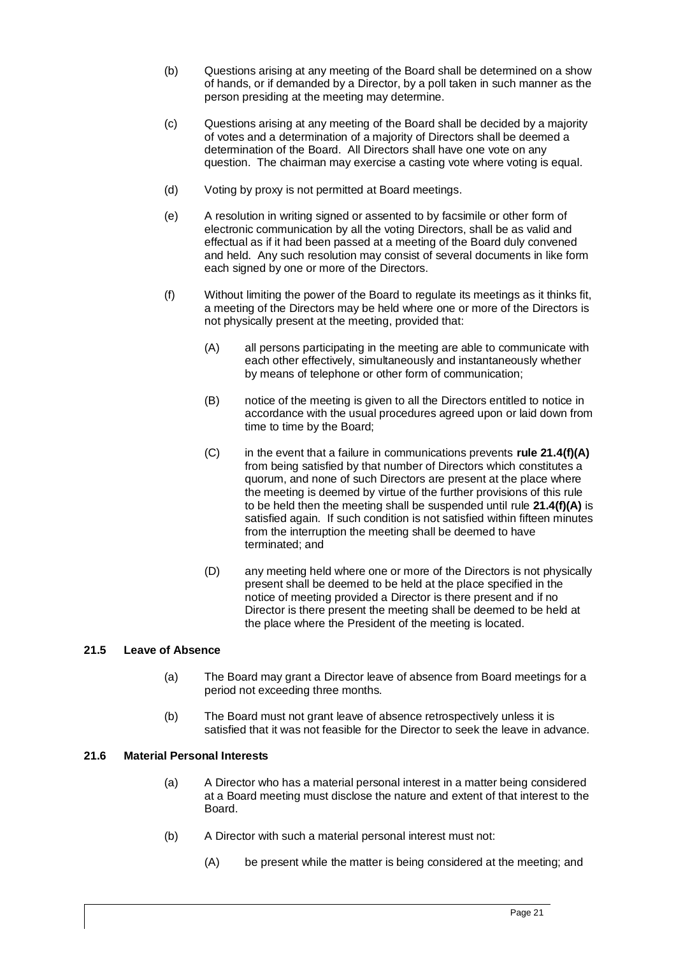- (b) Questions arising at any meeting of the Board shall be determined on a show of hands, or if demanded by a Director, by a poll taken in such manner as the person presiding at the meeting may determine.
- (c) Questions arising at any meeting of the Board shall be decided by a majority of votes and a determination of a majority of Directors shall be deemed a determination of the Board. All Directors shall have one vote on any question. The chairman may exercise a casting vote where voting is equal.
- (d) Voting by proxy is not permitted at Board meetings.
- (e) A resolution in writing signed or assented to by facsimile or other form of electronic communication by all the voting Directors, shall be as valid and effectual as if it had been passed at a meeting of the Board duly convened and held. Any such resolution may consist of several documents in like form each signed by one or more of the Directors.
- (f) Without limiting the power of the Board to regulate its meetings as it thinks fit, a meeting of the Directors may be held where one or more of the Directors is not physically present at the meeting, provided that:
	- (A) all persons participating in the meeting are able to communicate with each other effectively, simultaneously and instantaneously whether by means of telephone or other form of communication;
	- (B) notice of the meeting is given to all the Directors entitled to notice in accordance with the usual procedures agreed upon or laid down from time to time by the Board;
	- (C) in the event that a failure in communications prevents **rule 21.4(f)(A)** from being satisfied by that number of Directors which constitutes a quorum, and none of such Directors are present at the place where the meeting is deemed by virtue of the further provisions of this rule to be held then the meeting shall be suspended until rule **21.4(f)(A)** is satisfied again. If such condition is not satisfied within fifteen minutes from the interruption the meeting shall be deemed to have terminated; and
	- (D) any meeting held where one or more of the Directors is not physically present shall be deemed to be held at the place specified in the notice of meeting provided a Director is there present and if no Director is there present the meeting shall be deemed to be held at the place where the President of the meeting is located.

# <span id="page-24-0"></span>**21.5 Leave of Absence**

- (a) The Board may grant a Director leave of absence from Board meetings for a period not exceeding three months.
- (b) The Board must not grant leave of absence retrospectively unless it is satisfied that it was not feasible for the Director to seek the leave in advance.

# <span id="page-24-1"></span>**21.6 Material Personal Interests**

- (a) A Director who has a material personal interest in a matter being considered at a Board meeting must disclose the nature and extent of that interest to the Board.
- (b) A Director with such a material personal interest must not:
	- (A) be present while the matter is being considered at the meeting; and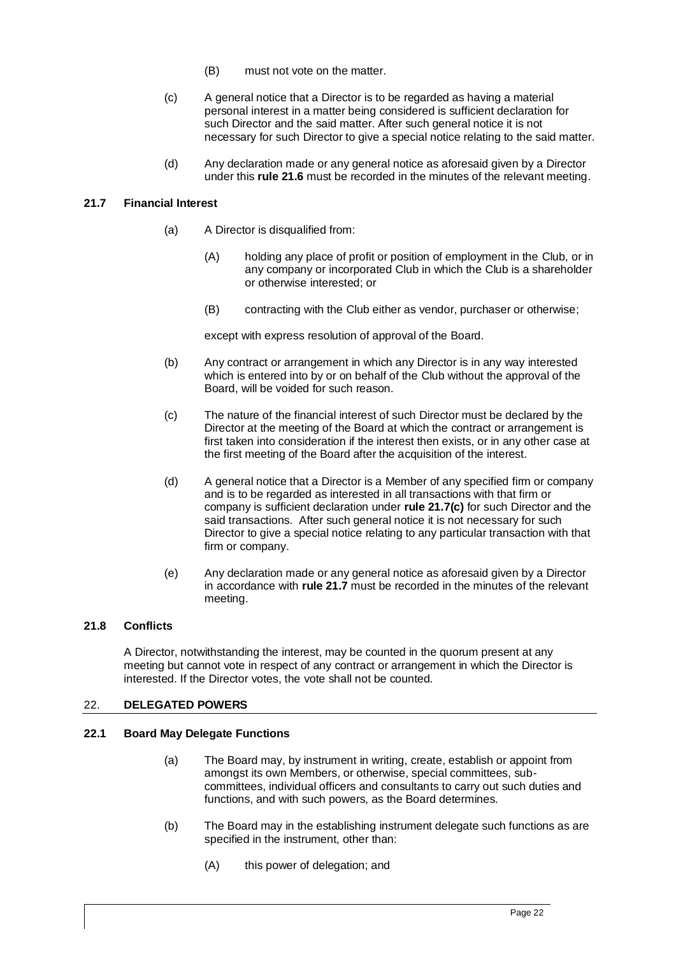- (B) must not vote on the matter.
- (c) A general notice that a Director is to be regarded as having a material personal interest in a matter being considered is sufficient declaration for such Director and the said matter. After such general notice it is not necessary for such Director to give a special notice relating to the said matter.
- (d) Any declaration made or any general notice as aforesaid given by a Director under this **rule [21.6](#page-24-1)** must be recorded in the minutes of the relevant meeting.

# <span id="page-25-0"></span>**21.7 Financial Interest**

- (a) A Director is disqualified from:
	- (A) holding any place of profit or position of employment in the Club, or in any company or incorporated Club in which the Club is a shareholder or otherwise interested; or
	- (B) contracting with the Club either as vendor, purchaser or otherwise;

except with express resolution of approval of the Board.

- (b) Any contract or arrangement in which any Director is in any way interested which is entered into by or on behalf of the Club without the approval of the Board, will be voided for such reason.
- <span id="page-25-4"></span>(c) The nature of the financial interest of such Director must be declared by the Director at the meeting of the Board at which the contract or arrangement is first taken into consideration if the interest then exists, or in any other case at the first meeting of the Board after the acquisition of the interest.
- (d) A general notice that a Director is a Member of any specified firm or company and is to be regarded as interested in all transactions with that firm or company is sufficient declaration under **rule [21.7\(c\)](#page-25-4)** for such Director and the said transactions. After such general notice it is not necessary for such Director to give a special notice relating to any particular transaction with that firm or company.
- (e) Any declaration made or any general notice as aforesaid given by a Director in accordance with **rule [21.7](#page-25-0)** must be recorded in the minutes of the relevant meeting.

# <span id="page-25-1"></span>**21.8 Conflicts**

A Director, notwithstanding the interest, may be counted in the quorum present at any meeting but cannot vote in respect of any contract or arrangement in which the Director is interested. If the Director votes, the vote shall not be counted.

#### <span id="page-25-2"></span>22. **DELEGATED POWERS**

#### <span id="page-25-3"></span>**22.1 Board May Delegate Functions**

- (a) The Board may, by instrument in writing, create, establish or appoint from amongst its own Members, or otherwise, special committees, subcommittees, individual officers and consultants to carry out such duties and functions, and with such powers, as the Board determines.
- (b) The Board may in the establishing instrument delegate such functions as are specified in the instrument, other than:
	- (A) this power of delegation; and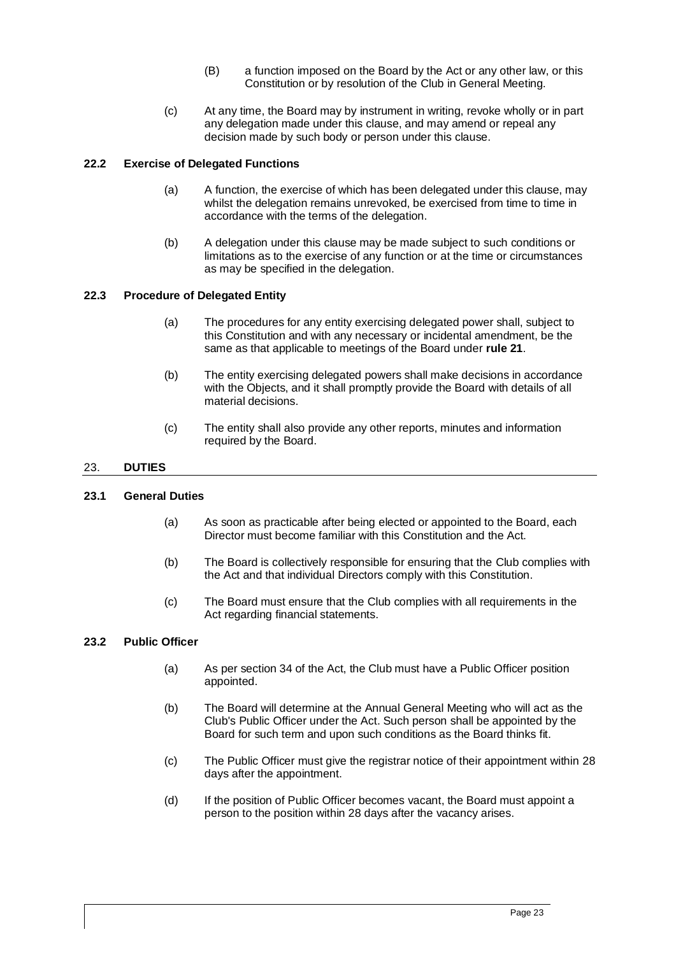- (B) a function imposed on the Board by the Act or any other law, or this Constitution or by resolution of the Club in General Meeting.
- (c) At any time, the Board may by instrument in writing, revoke wholly or in part any delegation made under this clause, and may amend or repeal any decision made by such body or person under this clause.

# <span id="page-26-0"></span>**22.2 Exercise of Delegated Functions**

- (a) A function, the exercise of which has been delegated under this clause, may whilst the delegation remains unrevoked, be exercised from time to time in accordance with the terms of the delegation.
- (b) A delegation under this clause may be made subject to such conditions or limitations as to the exercise of any function or at the time or circumstances as may be specified in the delegation.

# <span id="page-26-1"></span>**22.3 Procedure of Delegated Entity**

- (a) The procedures for any entity exercising delegated power shall, subject to this Constitution and with any necessary or incidental amendment, be the same as that applicable to meetings of the Board under **rule [21](#page-23-0)**.
- (b) The entity exercising delegated powers shall make decisions in accordance with the Objects, and it shall promptly provide the Board with details of all material decisions.
- (c) The entity shall also provide any other reports, minutes and information required by the Board.

# <span id="page-26-2"></span>23. **DUTIES**

# <span id="page-26-3"></span>**23.1 General Duties**

- (a) As soon as practicable after being elected or appointed to the Board, each Director must become familiar with this Constitution and the Act.
- (b) The Board is collectively responsible for ensuring that the Club complies with the Act and that individual Directors comply with this Constitution.
- (c) The Board must ensure that the Club complies with all requirements in the Act regarding financial statements.

# <span id="page-26-4"></span>**23.2 Public Officer**

- (a) As per section 34 of the Act, the Club must have a Public Officer position appointed.
- (b) The Board will determine at the Annual General Meeting who will act as the Club's Public Officer under the Act. Such person shall be appointed by the Board for such term and upon such conditions as the Board thinks fit.
- (c) The Public Officer must give the registrar notice of their appointment within 28 days after the appointment.
- (d) If the position of Public Officer becomes vacant, the Board must appoint a person to the position within 28 days after the vacancy arises.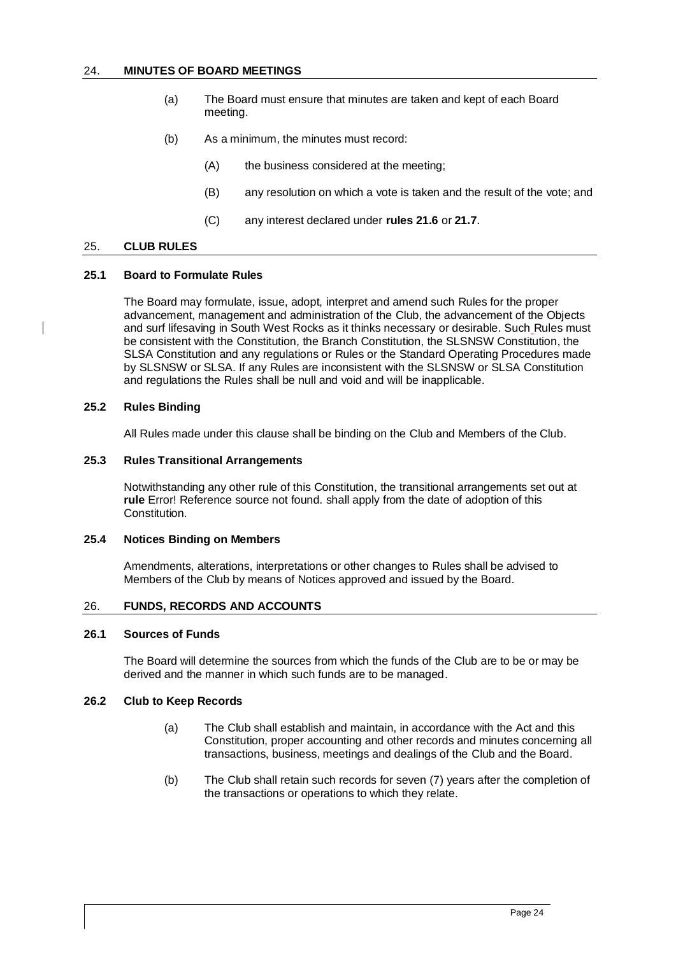#### <span id="page-27-0"></span>24. **MINUTES OF BOARD MEETINGS**

- (a) The Board must ensure that minutes are taken and kept of each Board meeting.
- (b) As a minimum, the minutes must record:
	- (A) the business considered at the meeting;
	- (B) any resolution on which a vote is taken and the result of the vote; and
	- (C) any interest declared under **rules [21.6](#page-24-1)** or **[21.7](#page-25-0)**.

#### 25. **CLUB RULES**

#### <span id="page-27-1"></span>**25.1 Board to Formulate Rules**

The Board may formulate, issue, adopt, interpret and amend such Rules for the proper advancement, management and administration of the Club, the advancement of the Objects and surf lifesaving in South West Rocks as it thinks necessary or desirable. Such Rules must be consistent with the Constitution, the Branch Constitution, the SLSNSW Constitution, the SLSA Constitution and any regulations or Rules or the Standard Operating Procedures made by SLSNSW or SLSA. If any Rules are inconsistent with the SLSNSW or SLSA Constitution and regulations the Rules shall be null and void and will be inapplicable.

# <span id="page-27-2"></span>**25.2 Rules Binding**

All Rules made under this clause shall be binding on the Club and Members of the Club.

#### <span id="page-27-3"></span>**25.3 Rules Transitional Arrangements**

Notwithstanding any other rule of this Constitution, the transitional arrangements set out at **rule** Error! Reference source not found. shall apply from the date of adoption of this Constitution.

# <span id="page-27-4"></span>**25.4 Notices Binding on Members**

Amendments, alterations, interpretations or other changes to Rules shall be advised to Members of the Club by means of Notices approved and issued by the Board.

#### <span id="page-27-5"></span>26. **FUNDS, RECORDS AND ACCOUNTS**

#### <span id="page-27-6"></span>**26.1 Sources of Funds**

The Board will determine the sources from which the funds of the Club are to be or may be derived and the manner in which such funds are to be managed.

# <span id="page-27-7"></span>**26.2 Club to Keep Records**

- (a) The Club shall establish and maintain, in accordance with the Act and this Constitution, proper accounting and other records and minutes concerning all transactions, business, meetings and dealings of the Club and the Board.
- (b) The Club shall retain such records for seven (7) years after the completion of the transactions or operations to which they relate.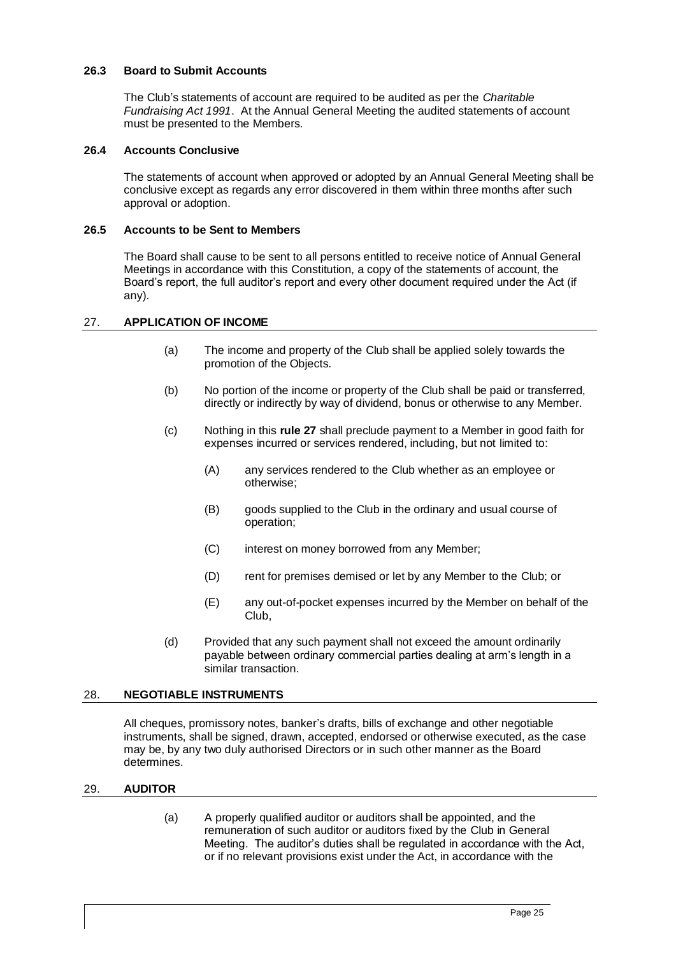# <span id="page-28-0"></span>**26.3 Board to Submit Accounts**

The Club's statements of account are required to be audited as per the *Charitable Fundraising Act 1991*. At the Annual General Meeting the audited statements of account must be presented to the Members.

#### <span id="page-28-1"></span>**26.4 Accounts Conclusive**

The statements of account when approved or adopted by an Annual General Meeting shall be conclusive except as regards any error discovered in them within three months after such approval or adoption.

#### <span id="page-28-2"></span>**26.5 Accounts to be Sent to Members**

The Board shall cause to be sent to all persons entitled to receive notice of Annual General Meetings in accordance with this Constitution, a copy of the statements of account, the Board's report, the full auditor's report and every other document required under the Act (if any).

# <span id="page-28-3"></span>27. **APPLICATION OF INCOME**

- (a) The income and property of the Club shall be applied solely towards the promotion of the Objects.
- (b) No portion of the income or property of the Club shall be paid or transferred, directly or indirectly by way of dividend, bonus or otherwise to any Member.
- (c) Nothing in this **rule 27** shall preclude payment to a Member in good faith for expenses incurred or services rendered, including, but not limited to:
	- (A) any services rendered to the Club whether as an employee or otherwise;
	- (B) goods supplied to the Club in the ordinary and usual course of operation;
	- (C) interest on money borrowed from any Member;
	- (D) rent for premises demised or let by any Member to the Club; or
	- (E) any out-of-pocket expenses incurred by the Member on behalf of the Club,
- (d) Provided that any such payment shall not exceed the amount ordinarily payable between ordinary commercial parties dealing at arm's length in a similar transaction.

#### <span id="page-28-4"></span>28. **NEGOTIABLE INSTRUMENTS**

All cheques, promissory notes, banker's drafts, bills of exchange and other negotiable instruments, shall be signed, drawn, accepted, endorsed or otherwise executed, as the case may be, by any two duly authorised Directors or in such other manner as the Board determines.

#### <span id="page-28-5"></span>29. **AUDITOR**

(a) A properly qualified auditor or auditors shall be appointed, and the remuneration of such auditor or auditors fixed by the Club in General Meeting. The auditor's duties shall be regulated in accordance with the Act, or if no relevant provisions exist under the Act, in accordance with the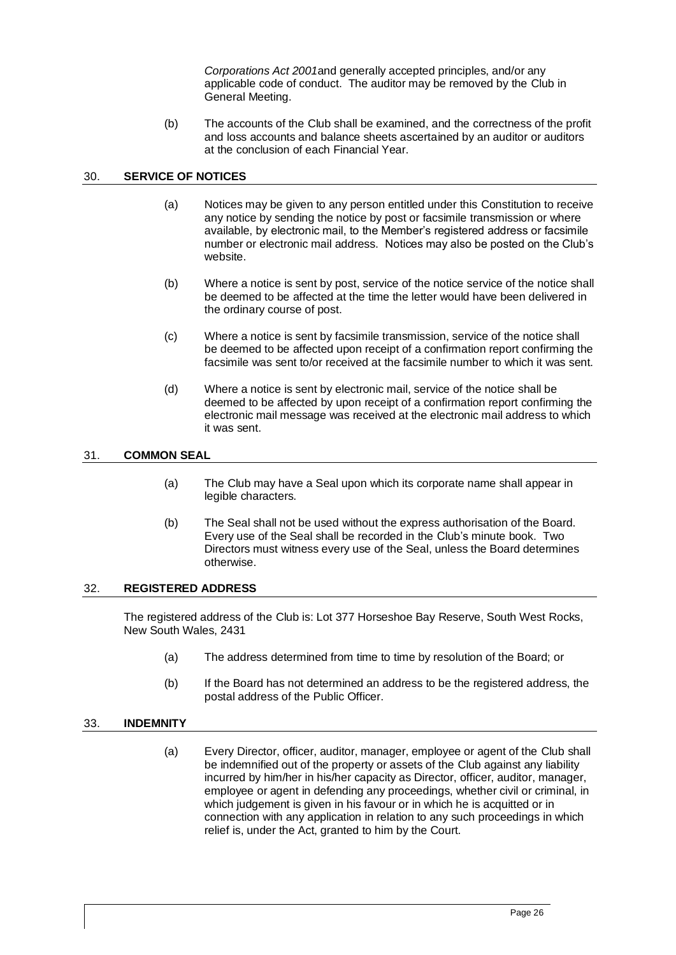*Corporations Act 2001*and generally accepted principles, and/or any applicable code of conduct. The auditor may be removed by the Club in General Meeting.

(b) The accounts of the Club shall be examined, and the correctness of the profit and loss accounts and balance sheets ascertained by an auditor or auditors at the conclusion of each Financial Year.

# <span id="page-29-0"></span>30. **SERVICE OF NOTICES**

- (a) Notices may be given to any person entitled under this Constitution to receive any notice by sending the notice by post or facsimile transmission or where available, by electronic mail, to the Member's registered address or facsimile number or electronic mail address. Notices may also be posted on the Club's website.
- (b) Where a notice is sent by post, service of the notice service of the notice shall be deemed to be affected at the time the letter would have been delivered in the ordinary course of post.
- (c) Where a notice is sent by facsimile transmission, service of the notice shall be deemed to be affected upon receipt of a confirmation report confirming the facsimile was sent to/or received at the facsimile number to which it was sent.
- (d) Where a notice is sent by electronic mail, service of the notice shall be deemed to be affected by upon receipt of a confirmation report confirming the electronic mail message was received at the electronic mail address to which it was sent.

# <span id="page-29-1"></span>31. **COMMON SEAL**

- (a) The Club may have a Seal upon which its corporate name shall appear in legible characters.
- (b) The Seal shall not be used without the express authorisation of the Board. Every use of the Seal shall be recorded in the Club's minute book. Two Directors must witness every use of the Seal, unless the Board determines otherwise.

# <span id="page-29-2"></span>32. **REGISTERED ADDRESS**

The registered address of the Club is: Lot 377 Horseshoe Bay Reserve, South West Rocks, New South Wales, 2431

- (a) The address determined from time to time by resolution of the Board; or
- (b) If the Board has not determined an address to be the registered address, the postal address of the Public Officer.

# <span id="page-29-3"></span>33. **INDEMNITY**

(a) Every Director, officer, auditor, manager, employee or agent of the Club shall be indemnified out of the property or assets of the Club against any liability incurred by him/her in his/her capacity as Director, officer, auditor, manager, employee or agent in defending any proceedings, whether civil or criminal, in which judgement is given in his favour or in which he is acquitted or in connection with any application in relation to any such proceedings in which relief is, under the Act, granted to him by the Court.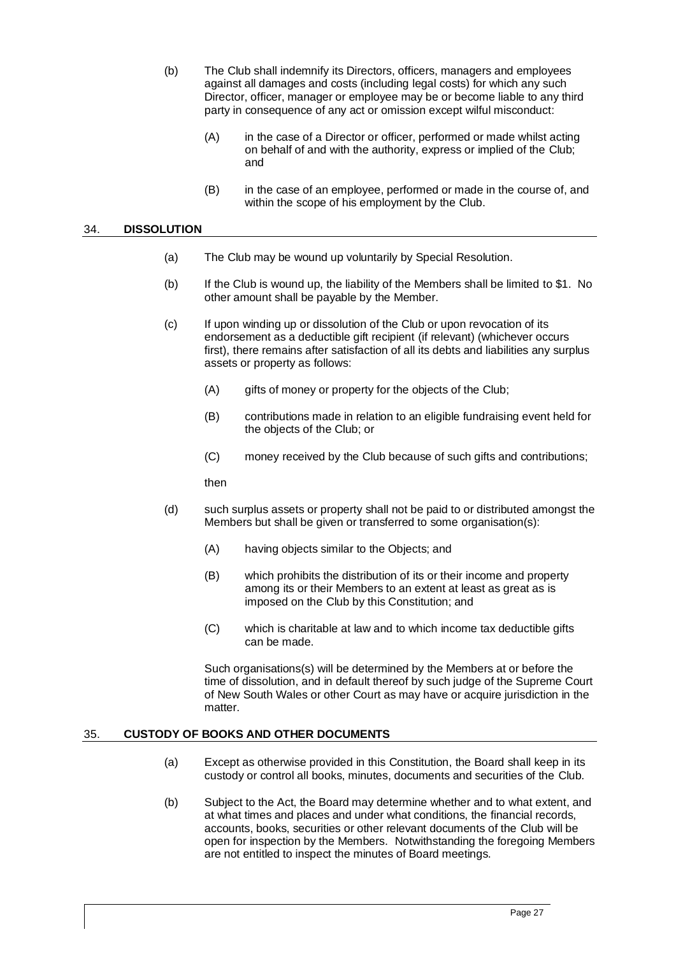- (b) The Club shall indemnify its Directors, officers, managers and employees against all damages and costs (including legal costs) for which any such Director, officer, manager or employee may be or become liable to any third party in consequence of any act or omission except wilful misconduct:
	- (A) in the case of a Director or officer, performed or made whilst acting on behalf of and with the authority, express or implied of the Club; and
	- (B) in the case of an employee, performed or made in the course of, and within the scope of his employment by the Club.

#### <span id="page-30-0"></span>34. **DISSOLUTION**

- (a) The Club may be wound up voluntarily by Special Resolution.
- (b) If the Club is wound up, the liability of the Members shall be limited to \$1. No other amount shall be payable by the Member.
- (c) If upon winding up or dissolution of the Club or upon revocation of its endorsement as a deductible gift recipient (if relevant) (whichever occurs first), there remains after satisfaction of all its debts and liabilities any surplus assets or property as follows:
	- (A) gifts of money or property for the objects of the Club;
	- (B) contributions made in relation to an eligible fundraising event held for the objects of the Club; or
	- (C) money received by the Club because of such gifts and contributions;

then

- (d) such surplus assets or property shall not be paid to or distributed amongst the Members but shall be given or transferred to some organisation(s):
	- (A) having objects similar to the Objects; and
	- (B) which prohibits the distribution of its or their income and property among its or their Members to an extent at least as great as is imposed on the Club by this Constitution; and
	- (C) which is charitable at law and to which income tax deductible gifts can be made.

Such organisations(s) will be determined by the Members at or before the time of dissolution, and in default thereof by such judge of the Supreme Court of New South Wales or other Court as may have or acquire jurisdiction in the matter.

# <span id="page-30-1"></span>35. **CUSTODY OF BOOKS AND OTHER DOCUMENTS**

- (a) Except as otherwise provided in this Constitution, the Board shall keep in its custody or control all books, minutes, documents and securities of the Club.
- (b) Subject to the Act, the Board may determine whether and to what extent, and at what times and places and under what conditions, the financial records, accounts, books, securities or other relevant documents of the Club will be open for inspection by the Members. Notwithstanding the foregoing Members are not entitled to inspect the minutes of Board meetings.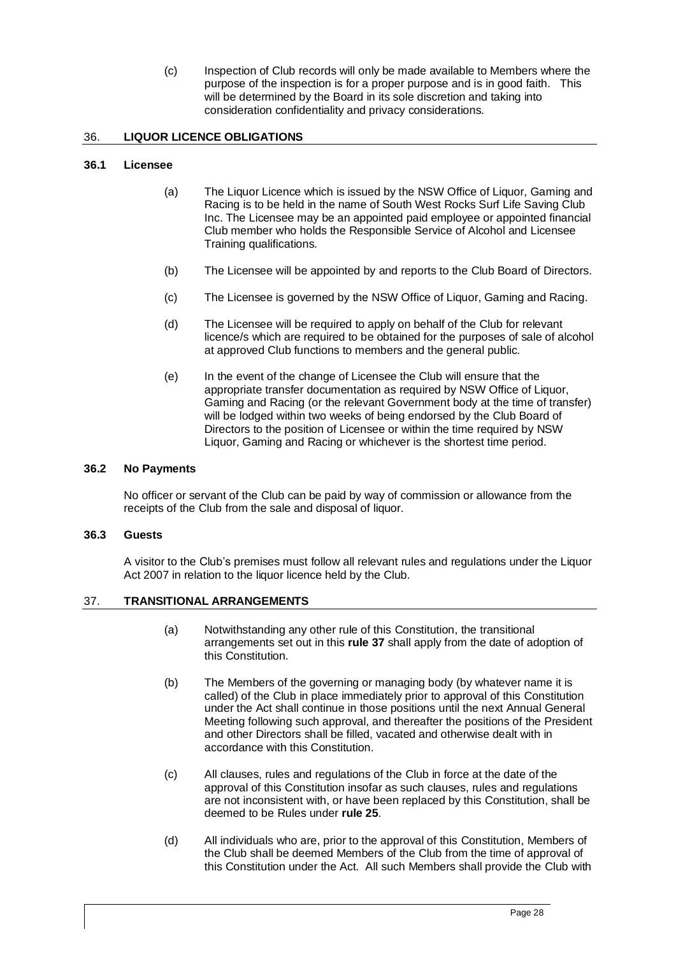(c) Inspection of Club records will only be made available to Members where the purpose of the inspection is for a proper purpose and is in good faith. This will be determined by the Board in its sole discretion and taking into consideration confidentiality and privacy considerations.

# <span id="page-31-0"></span>36. **LIQUOR LICENCE OBLIGATIONS**

# <span id="page-31-1"></span>**36.1 Licensee**

- (a) The Liquor Licence which is issued by the NSW Office of Liquor, Gaming and Racing is to be held in the name of South West Rocks Surf Life Saving Club Inc. The Licensee may be an appointed paid employee or appointed financial Club member who holds the Responsible Service of Alcohol and Licensee Training qualifications.
- (b) The Licensee will be appointed by and reports to the Club Board of Directors.
- (c) The Licensee is governed by the NSW Office of Liquor, Gaming and Racing.
- (d) The Licensee will be required to apply on behalf of the Club for relevant licence/s which are required to be obtained for the purposes of sale of alcohol at approved Club functions to members and the general public.
- (e) In the event of the change of Licensee the Club will ensure that the appropriate transfer documentation as required by NSW Office of Liquor, Gaming and Racing (or the relevant Government body at the time of transfer) will be lodged within two weeks of being endorsed by the Club Board of Directors to the position of Licensee or within the time required by NSW Liquor, Gaming and Racing or whichever is the shortest time period.

# <span id="page-31-2"></span>**36.2 No Payments**

No officer or servant of the Club can be paid by way of commission or allowance from the receipts of the Club from the sale and disposal of liquor.

# <span id="page-31-3"></span>**36.3 Guests**

A visitor to the Club's premises must follow all relevant rules and regulations under the Liquor Act 2007 in relation to the liquor licence held by the Club.

# <span id="page-31-4"></span>37. **TRANSITIONAL ARRANGEMENTS**

- (a) Notwithstanding any other rule of this Constitution, the transitional arrangements set out in this **rule 37** shall apply from the date of adoption of this Constitution.
- (b) The Members of the governing or managing body (by whatever name it is called) of the Club in place immediately prior to approval of this Constitution under the Act shall continue in those positions until the next Annual General Meeting following such approval, and thereafter the positions of the President and other Directors shall be filled, vacated and otherwise dealt with in accordance with this Constitution.
- (c) All clauses, rules and regulations of the Club in force at the date of the approval of this Constitution insofar as such clauses, rules and regulations are not inconsistent with, or have been replaced by this Constitution, shall be deemed to be Rules under **rule 25**.
- (d) All individuals who are, prior to the approval of this Constitution, Members of the Club shall be deemed Members of the Club from the time of approval of this Constitution under the Act. All such Members shall provide the Club with